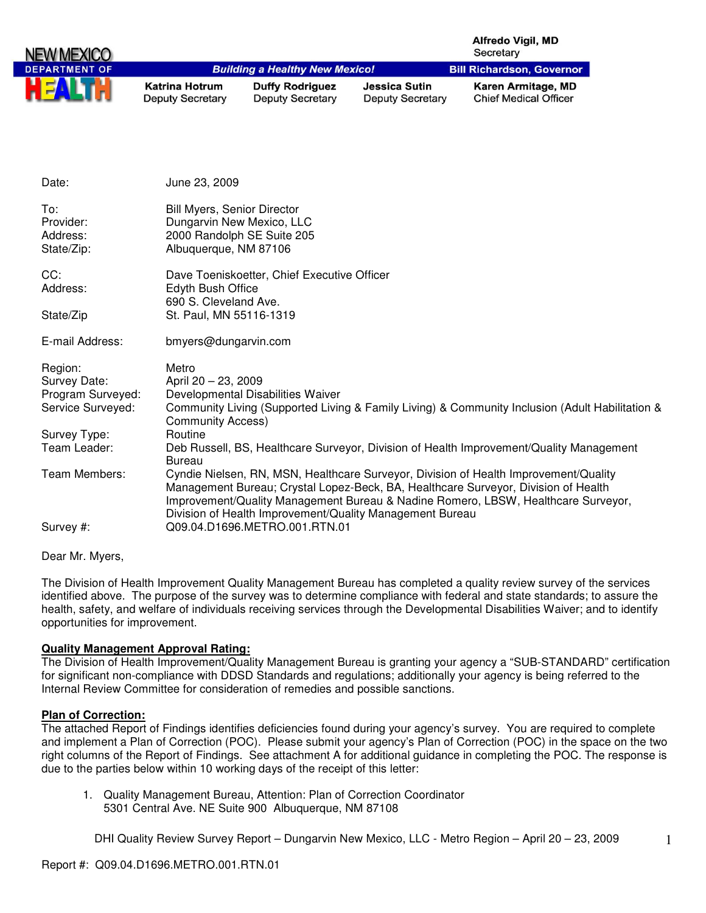| NEW MEXICO           |                                                  |                                                   |                                                 | <b>Alfredo Vigil, MD</b><br>Secretary              |
|----------------------|--------------------------------------------------|---------------------------------------------------|-------------------------------------------------|----------------------------------------------------|
| <b>DEPARTMENT OF</b> |                                                  | <b>Building a Healthy New Mexico!</b>             |                                                 | <b>Bill Richardson, Governor</b>                   |
| ш                    | <b>Katrina Hotrum</b><br><b>Deputy Secretary</b> | <b>Duffy Rodriguez</b><br><b>Deputy Secretary</b> | <b>Jessica Sutin</b><br><b>Deputy Secretary</b> | Karen Armitage, MD<br><b>Chief Medical Officer</b> |

| Date:                                      | June 23, 2009                                                                                                                                                                                                                                                                                                               |
|--------------------------------------------|-----------------------------------------------------------------------------------------------------------------------------------------------------------------------------------------------------------------------------------------------------------------------------------------------------------------------------|
| To:<br>Provider:<br>Address:<br>State/Zip: | <b>Bill Myers, Senior Director</b><br>Dungarvin New Mexico, LLC<br>2000 Randolph SE Suite 205<br>Albuquerque, NM 87106                                                                                                                                                                                                      |
| CC:<br>Address:                            | Dave Toeniskoetter, Chief Executive Officer<br>Edyth Bush Office<br>690 S. Cleveland Ave.                                                                                                                                                                                                                                   |
| State/Zip                                  | St. Paul, MN 55116-1319                                                                                                                                                                                                                                                                                                     |
| E-mail Address:                            | bmyers@dungarvin.com                                                                                                                                                                                                                                                                                                        |
| Region:                                    | Metro                                                                                                                                                                                                                                                                                                                       |
| Survey Date:                               | April 20 - 23, 2009                                                                                                                                                                                                                                                                                                         |
| Program Surveyed:                          | Developmental Disabilities Waiver                                                                                                                                                                                                                                                                                           |
| Service Surveyed:                          | Community Living (Supported Living & Family Living) & Community Inclusion (Adult Habilitation &<br><b>Community Access)</b>                                                                                                                                                                                                 |
| Survey Type:                               | Routine                                                                                                                                                                                                                                                                                                                     |
| Team Leader:                               | Deb Russell, BS, Healthcare Surveyor, Division of Health Improvement/Quality Management<br><b>Bureau</b>                                                                                                                                                                                                                    |
| Team Members:                              | Cyndie Nielsen, RN, MSN, Healthcare Surveyor, Division of Health Improvement/Quality<br>Management Bureau; Crystal Lopez-Beck, BA, Healthcare Surveyor, Division of Health<br>Improvement/Quality Management Bureau & Nadine Romero, LBSW, Healthcare Surveyor,<br>Division of Health Improvement/Quality Management Bureau |
| Survey #:                                  | Q09.04.D1696.METRO.001.RTN.01                                                                                                                                                                                                                                                                                               |
|                                            |                                                                                                                                                                                                                                                                                                                             |

Dear Mr. Myers,

The Division of Health Improvement Quality Management Bureau has completed a quality review survey of the services identified above. The purpose of the survey was to determine compliance with federal and state standards; to assure the health, safety, and welfare of individuals receiving services through the Developmental Disabilities Waiver; and to identify opportunities for improvement.

# **Quality Management Approval Rating:**

The Division of Health Improvement/Quality Management Bureau is granting your agency a "SUB-STANDARD" certification for significant non-compliance with DDSD Standards and regulations; additionally your agency is being referred to the Internal Review Committee for consideration of remedies and possible sanctions.

#### **Plan of Correction:**

The attached Report of Findings identifies deficiencies found during your agency's survey. You are required to complete and implement a Plan of Correction (POC). Please submit your agency's Plan of Correction (POC) in the space on the two right columns of the Report of Findings. See attachment A for additional guidance in completing the POC. The response is due to the parties below within 10 working days of the receipt of this letter:

1. Quality Management Bureau, Attention: Plan of Correction Coordinator 5301 Central Ave. NE Suite 900 Albuquerque, NM 87108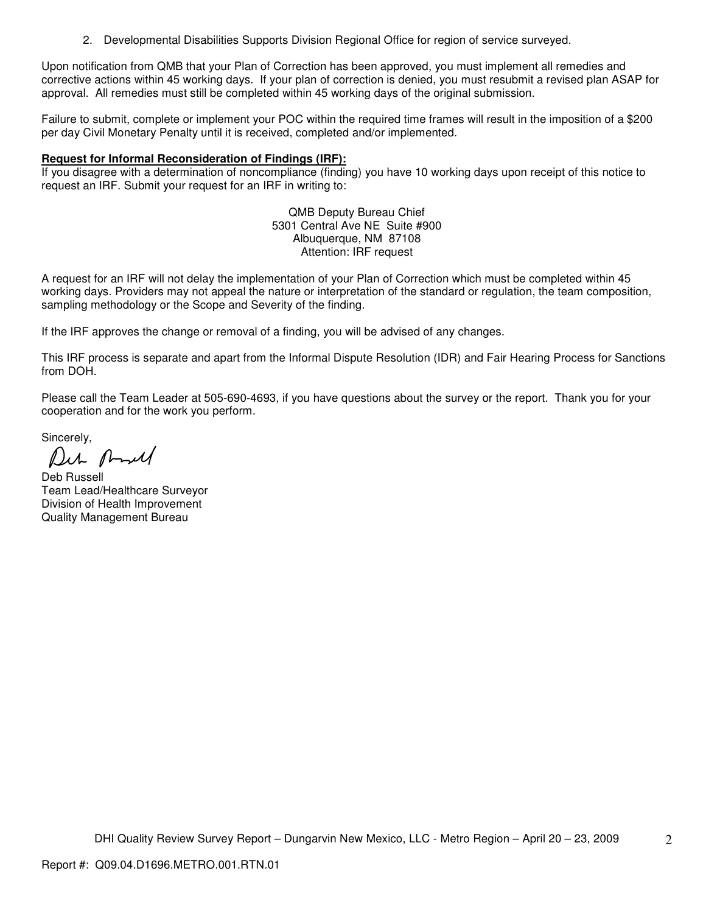2. Developmental Disabilities Supports Division Regional Office for region of service surveyed.

Upon notification from QMB that your Plan of Correction has been approved, you must implement all remedies and corrective actions within 45 working days. If your plan of correction is denied, you must resubmit a revised plan ASAP for approval. All remedies must still be completed within 45 working days of the original submission.

Failure to submit, complete or implement your POC within the required time frames will result in the imposition of a \$200 per day Civil Monetary Penalty until it is received, completed and/or implemented.

# **Request for Informal Reconsideration of Findings (IRF):**

If you disagree with a determination of noncompliance (finding) you have 10 working days upon receipt of this notice to request an IRF. Submit your request for an IRF in writing to:

> QMB Deputy Bureau Chief 5301 Central Ave NE Suite #900 Albuquerque, NM 87108 Attention: IRF request

A request for an IRF will not delay the implementation of your Plan of Correction which must be completed within 45 working days. Providers may not appeal the nature or interpretation of the standard or regulation, the team composition, sampling methodology or the Scope and Severity of the finding.

If the IRF approves the change or removal of a finding, you will be advised of any changes.

This IRF process is separate and apart from the Informal Dispute Resolution (IDR) and Fair Hearing Process for Sanctions from DOH.

Please call the Team Leader at 505-690-4693, if you have questions about the survey or the report. Thank you for your cooperation and for the work you perform.

Sincerely,

Der And

Deb Russell Team Lead/Healthcare Surveyor Division of Health Improvement Quality Management Bureau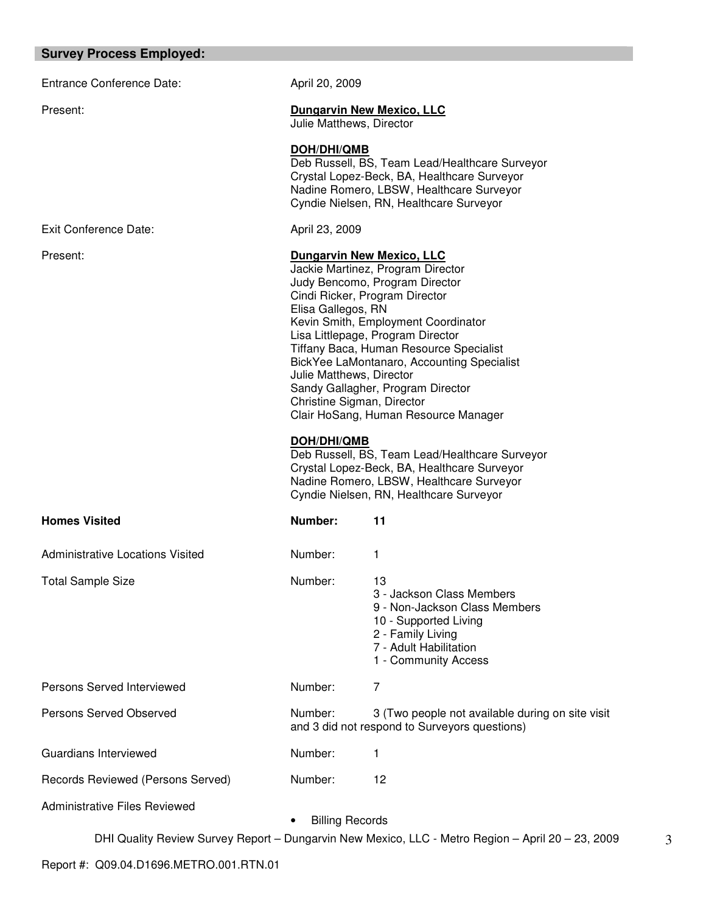# **Survey Process Employed:**

| Entrance Conference Date:               | April 20, 2009                                                                                                                                                                                                                                                                                                                                                                                                                                                              |                                                                                                                                                                                      |
|-----------------------------------------|-----------------------------------------------------------------------------------------------------------------------------------------------------------------------------------------------------------------------------------------------------------------------------------------------------------------------------------------------------------------------------------------------------------------------------------------------------------------------------|--------------------------------------------------------------------------------------------------------------------------------------------------------------------------------------|
| Present:                                | <b>Dungarvin New Mexico, LLC</b><br>Julie Matthews, Director                                                                                                                                                                                                                                                                                                                                                                                                                |                                                                                                                                                                                      |
|                                         | DOH/DHI/QMB                                                                                                                                                                                                                                                                                                                                                                                                                                                                 | Deb Russell, BS, Team Lead/Healthcare Surveyor<br>Crystal Lopez-Beck, BA, Healthcare Surveyor<br>Nadine Romero, LBSW, Healthcare Surveyor<br>Cyndie Nielsen, RN, Healthcare Surveyor |
| Exit Conference Date:                   | April 23, 2009                                                                                                                                                                                                                                                                                                                                                                                                                                                              |                                                                                                                                                                                      |
| Present:                                | <b>Dungarvin New Mexico, LLC</b><br>Jackie Martinez, Program Director<br>Judy Bencomo, Program Director<br>Cindi Ricker, Program Director<br>Elisa Gallegos, RN<br>Kevin Smith, Employment Coordinator<br>Lisa Littlepage, Program Director<br>Tiffany Baca, Human Resource Specialist<br>BickYee LaMontanaro, Accounting Specialist<br>Julie Matthews, Director<br>Sandy Gallagher, Program Director<br>Christine Sigman, Director<br>Clair HoSang, Human Resource Manager |                                                                                                                                                                                      |
|                                         | <b>DOH/DHI/QMB</b>                                                                                                                                                                                                                                                                                                                                                                                                                                                          | Deb Russell, BS, Team Lead/Healthcare Surveyor<br>Crystal Lopez-Beck, BA, Healthcare Surveyor<br>Nadine Romero, LBSW, Healthcare Surveyor<br>Cyndie Nielsen, RN, Healthcare Surveyor |
| <b>Homes Visited</b>                    | Number:                                                                                                                                                                                                                                                                                                                                                                                                                                                                     | 11                                                                                                                                                                                   |
| <b>Administrative Locations Visited</b> | Number:                                                                                                                                                                                                                                                                                                                                                                                                                                                                     | 1                                                                                                                                                                                    |
| <b>Total Sample Size</b>                | Number:                                                                                                                                                                                                                                                                                                                                                                                                                                                                     | 13<br>3 - Jackson Class Members<br>9 - Non-Jackson Class Members<br>10 - Supported Living<br>2 - Family Living<br>7 - Adult Habilitation<br>1 - Community Access                     |
| Persons Served Interviewed              | Number:                                                                                                                                                                                                                                                                                                                                                                                                                                                                     | 7                                                                                                                                                                                    |
| Persons Served Observed                 | Number:                                                                                                                                                                                                                                                                                                                                                                                                                                                                     | 3 (Two people not available during on site visit<br>and 3 did not respond to Surveyors questions)                                                                                    |
| Guardians Interviewed                   | Number:                                                                                                                                                                                                                                                                                                                                                                                                                                                                     | 1                                                                                                                                                                                    |
| Records Reviewed (Persons Served)       | Number:                                                                                                                                                                                                                                                                                                                                                                                                                                                                     | 12                                                                                                                                                                                   |
| <b>Administrative Files Reviewed</b>    | <b>Billing Records</b>                                                                                                                                                                                                                                                                                                                                                                                                                                                      |                                                                                                                                                                                      |
|                                         |                                                                                                                                                                                                                                                                                                                                                                                                                                                                             | DHI Quality Review Survey Report - Dungarvin New Mexico, LLC - Metro Region - April 20 - 23, 2009                                                                                    |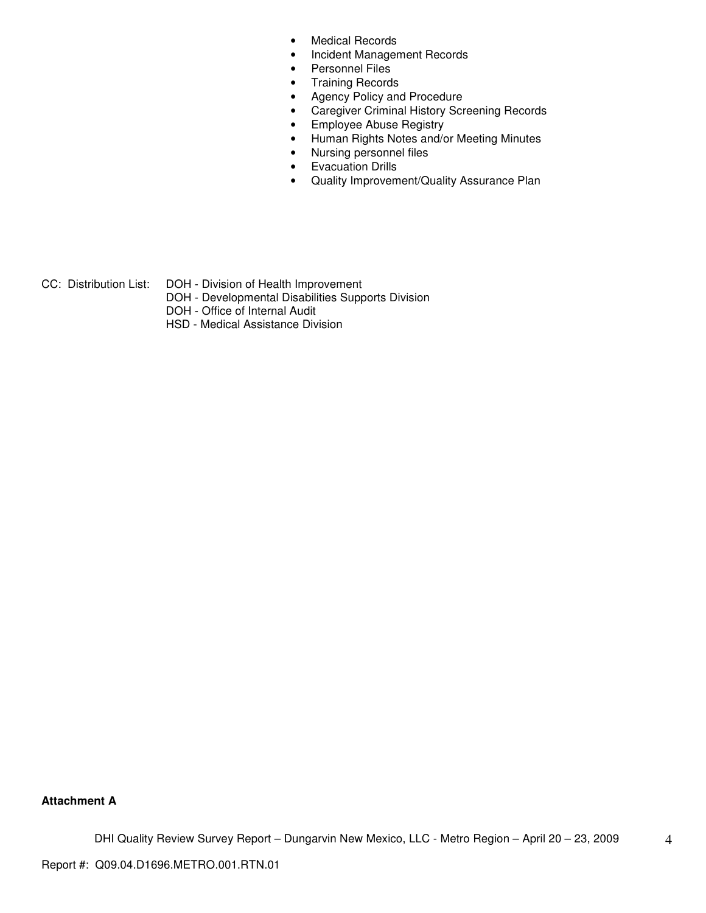- Medical Records
- Incident Management Records
- Personnel Files
- Training Records
- Agency Policy and Procedure
- Caregiver Criminal History Screening Records
- Employee Abuse Registry
- Human Rights Notes and/or Meeting Minutes
- Nursing personnel files
- Evacuation Drills
- Quality Improvement/Quality Assurance Plan

CC: Distribution List: DOH - Division of Health Improvement

- DOH Developmental Disabilities Supports Division
- DOH Office of Internal Audit
- HSD Medical Assistance Division

#### **Attachment A**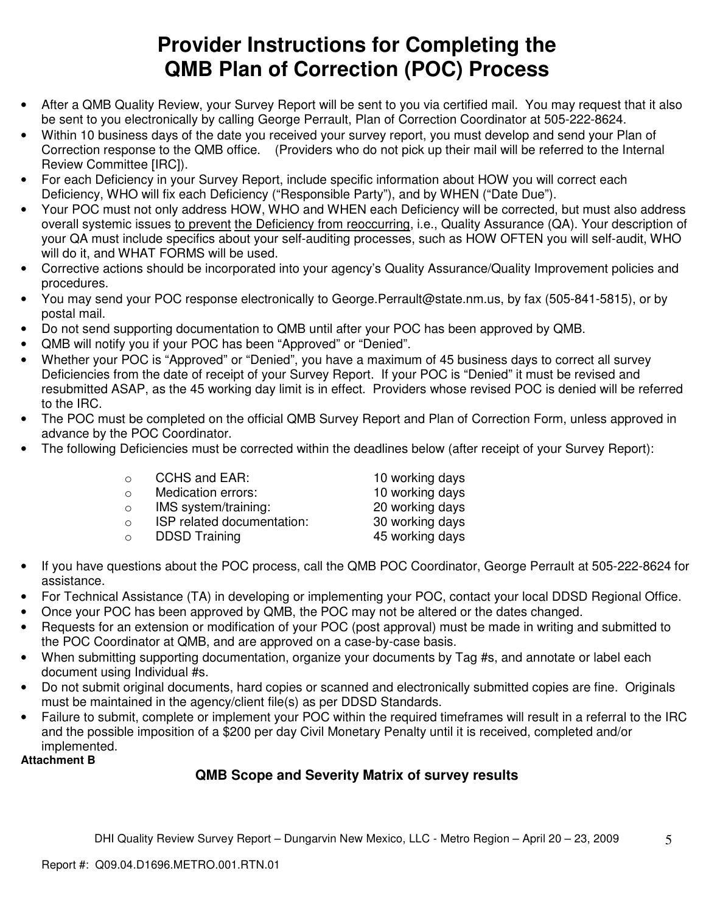# **Provider Instructions for Completing the QMB Plan of Correction (POC) Process**

- After a QMB Quality Review, your Survey Report will be sent to you via certified mail. You may request that it also be sent to you electronically by calling George Perrault, Plan of Correction Coordinator at 505-222-8624.
- Within 10 business days of the date you received your survey report, you must develop and send your Plan of Correction response to the QMB office. (Providers who do not pick up their mail will be referred to the Internal Review Committee [IRC]).
- For each Deficiency in your Survey Report, include specific information about HOW you will correct each Deficiency, WHO will fix each Deficiency ("Responsible Party"), and by WHEN ("Date Due").
- Your POC must not only address HOW, WHO and WHEN each Deficiency will be corrected, but must also address overall systemic issues to prevent the Deficiency from reoccurring, i.e., Quality Assurance (QA). Your description of your QA must include specifics about your self-auditing processes, such as HOW OFTEN you will self-audit, WHO will do it, and WHAT FORMS will be used.
- Corrective actions should be incorporated into your agency's Quality Assurance/Quality Improvement policies and procedures.
- You may send your POC response electronically to George.Perrault@state.nm.us, by fax (505-841-5815), or by postal mail.
- Do not send supporting documentation to QMB until after your POC has been approved by QMB.
- QMB will notify you if your POC has been "Approved" or "Denied".
- Whether your POC is "Approved" or "Denied", you have a maximum of 45 business days to correct all survey Deficiencies from the date of receipt of your Survey Report. If your POC is "Denied" it must be revised and resubmitted ASAP, as the 45 working day limit is in effect. Providers whose revised POC is denied will be referred to the IRC.
- The POC must be completed on the official QMB Survey Report and Plan of Correction Form, unless approved in advance by the POC Coordinator.
- The following Deficiencies must be corrected within the deadlines below (after receipt of your Survey Report):

| $\circ$  | CCHS and EAR:              | 10 working days |
|----------|----------------------------|-----------------|
| $\Omega$ | Medication errors:         | 10 working days |
| $\circ$  | IMS system/training:       | 20 working days |
| $\circ$  | ISP related documentation: | 30 working days |
| $\circ$  | <b>DDSD Training</b>       | 45 working days |
|          |                            |                 |

- If you have questions about the POC process, call the QMB POC Coordinator, George Perrault at 505-222-8624 for assistance.
- For Technical Assistance (TA) in developing or implementing your POC, contact your local DDSD Regional Office.
- Once your POC has been approved by QMB, the POC may not be altered or the dates changed.
- Requests for an extension or modification of your POC (post approval) must be made in writing and submitted to the POC Coordinator at QMB, and are approved on a case-by-case basis.
- When submitting supporting documentation, organize your documents by Tag #s, and annotate or label each document using Individual #s.
- Do not submit original documents, hard copies or scanned and electronically submitted copies are fine. Originals must be maintained in the agency/client file(s) as per DDSD Standards.
- Failure to submit, complete or implement your POC within the required timeframes will result in a referral to the IRC and the possible imposition of a \$200 per day Civil Monetary Penalty until it is received, completed and/or implemented.

**Attachment B**

# **QMB Scope and Severity Matrix of survey results**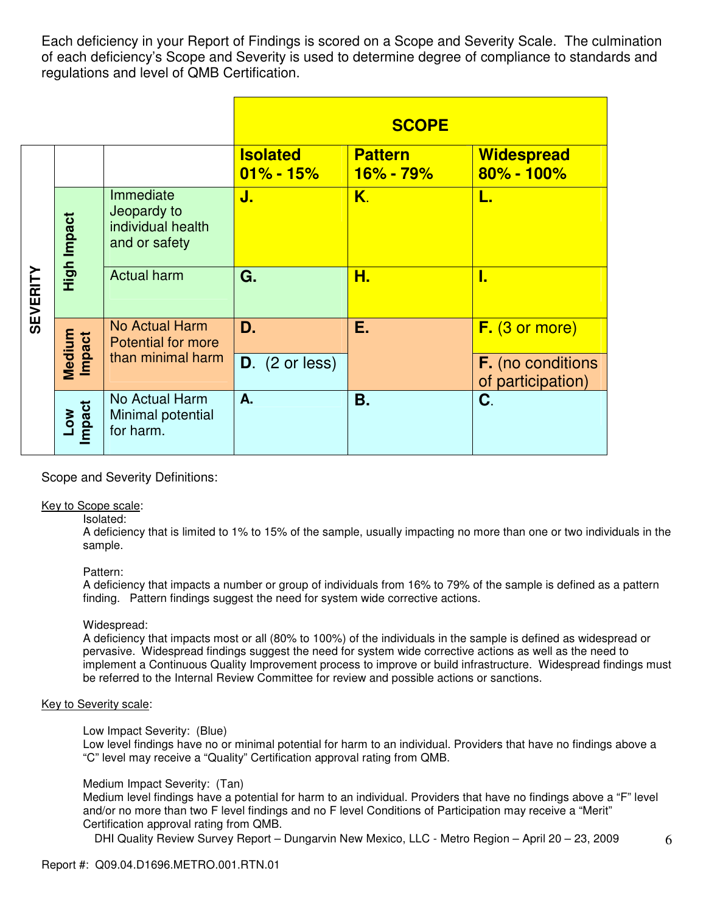Each deficiency in your Report of Findings is scored on a Scope and Severity Scale. The culmination of each deficiency's Scope and Severity is used to determine degree of compliance to standards and regulations and level of QMB Certification.

|                 |                  |                                                                |                                  | <b>SCOPE</b>                    |                                               |
|-----------------|------------------|----------------------------------------------------------------|----------------------------------|---------------------------------|-----------------------------------------------|
|                 |                  |                                                                | <b>Isolated</b><br>$01\% - 15\%$ | <b>Pattern</b><br>$16\% - 79\%$ | <b>Widespread</b><br>$80\% - 100\%$           |
|                 | High Impact      | Immediate<br>Jeopardy to<br>individual health<br>and or safety | J.                               | K.                              | L.                                            |
| <b>SEVERITY</b> |                  | <b>Actual harm</b>                                             | G.                               | Н.                              | Г.                                            |
|                 |                  | No Actual Harm<br><b>Potential for more</b>                    | D.                               | Ε.                              | $F.$ (3 or more)                              |
|                 | Medium<br>Impact | than minimal harm                                              | $D.$ (2 or less)                 |                                 | <b>F.</b> (no conditions<br>of participation) |
|                 | Low<br>Impact    | No Actual Harm<br>Minimal potential<br>for harm.               | A.                               | Β.                              | C.                                            |

# Scope and Severity Definitions:

#### Key to Scope scale:

Isolated:

A deficiency that is limited to 1% to 15% of the sample, usually impacting no more than one or two individuals in the sample.

#### Pattern:

A deficiency that impacts a number or group of individuals from 16% to 79% of the sample is defined as a pattern finding. Pattern findings suggest the need for system wide corrective actions.

#### Widespread:

A deficiency that impacts most or all (80% to 100%) of the individuals in the sample is defined as widespread or pervasive. Widespread findings suggest the need for system wide corrective actions as well as the need to implement a Continuous Quality Improvement process to improve or build infrastructure. Widespread findings must be referred to the Internal Review Committee for review and possible actions or sanctions.

#### Key to Severity scale:

Low Impact Severity: (Blue)

Low level findings have no or minimal potential for harm to an individual. Providers that have no findings above a "C" level may receive a "Quality" Certification approval rating from QMB.

# Medium Impact Severity: (Tan)

Medium level findings have a potential for harm to an individual. Providers that have no findings above a "F" level and/or no more than two F level findings and no F level Conditions of Participation may receive a "Merit" Certification approval rating from QMB.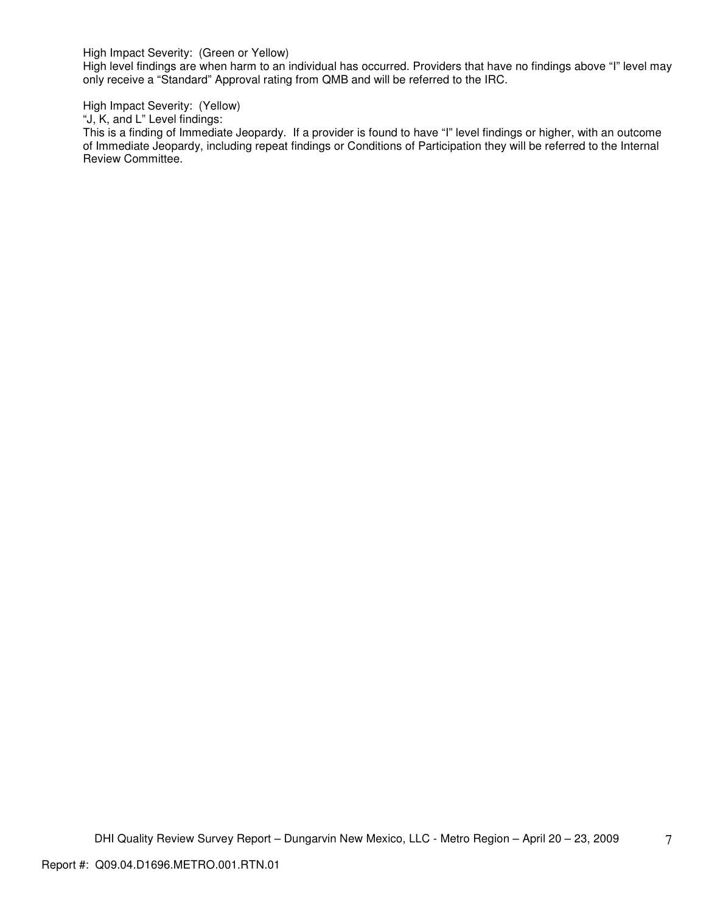High Impact Severity: (Green or Yellow)

High level findings are when harm to an individual has occurred. Providers that have no findings above "I" level may only receive a "Standard" Approval rating from QMB and will be referred to the IRC.

High Impact Severity: (Yellow)

"J, K, and L" Level findings:

This is a finding of Immediate Jeopardy. If a provider is found to have "I" level findings or higher, with an outcome of Immediate Jeopardy, including repeat findings or Conditions of Participation they will be referred to the Internal Review Committee.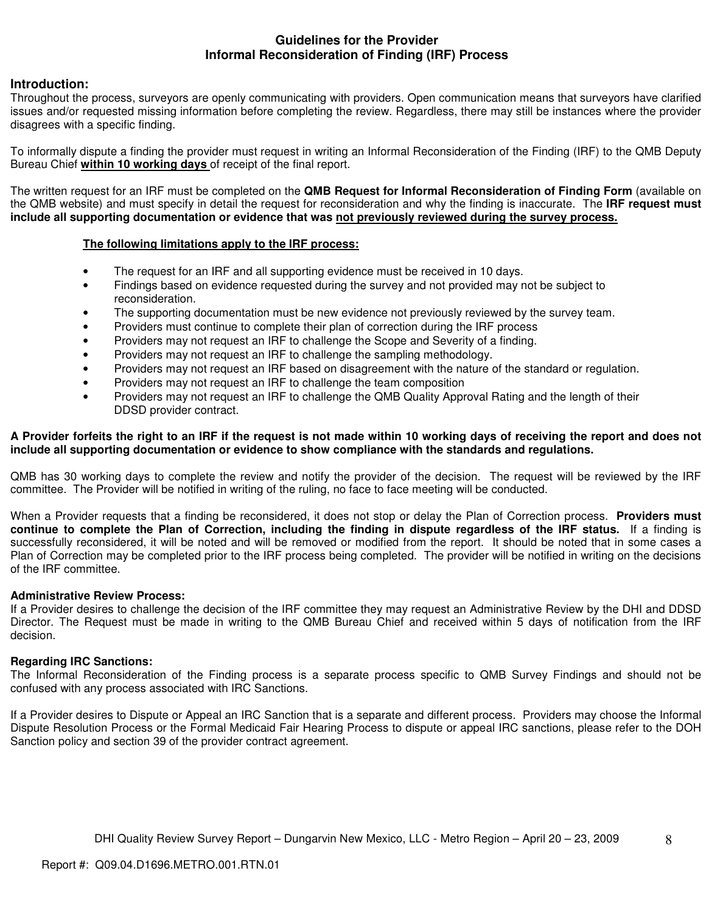# **Guidelines for the Provider Informal Reconsideration of Finding (IRF) Process**

# **Introduction:**

Throughout the process, surveyors are openly communicating with providers. Open communication means that surveyors have clarified issues and/or requested missing information before completing the review. Regardless, there may still be instances where the provider disagrees with a specific finding.

To informally dispute a finding the provider must request in writing an Informal Reconsideration of the Finding (IRF) to the QMB Deputy Bureau Chief **within 10 working days** of receipt of the final report.

The written request for an IRF must be completed on the **QMB Request for Informal Reconsideration of Finding Form** (available on the QMB website) and must specify in detail the request for reconsideration and why the finding is inaccurate. The **IRF request must include all supporting documentation or evidence that was not previously reviewed during the survey process.** 

# **The following limitations apply to the IRF process:**

- The request for an IRF and all supporting evidence must be received in 10 days.
- Findings based on evidence requested during the survey and not provided may not be subject to reconsideration.
- The supporting documentation must be new evidence not previously reviewed by the survey team.
- Providers must continue to complete their plan of correction during the IRF process
- Providers may not request an IRF to challenge the Scope and Severity of a finding.
- Providers may not request an IRF to challenge the sampling methodology.
- Providers may not request an IRF based on disagreement with the nature of the standard or regulation.
- Providers may not request an IRF to challenge the team composition
- Providers may not request an IRF to challenge the QMB Quality Approval Rating and the length of their DDSD provider contract.

#### **A Provider forfeits the right to an IRF if the request is not made within 10 working days of receiving the report and does not include all supporting documentation or evidence to show compliance with the standards and regulations.**

QMB has 30 working days to complete the review and notify the provider of the decision. The request will be reviewed by the IRF committee. The Provider will be notified in writing of the ruling, no face to face meeting will be conducted.

When a Provider requests that a finding be reconsidered, it does not stop or delay the Plan of Correction process. **Providers must continue to complete the Plan of Correction, including the finding in dispute regardless of the IRF status.** If a finding is successfully reconsidered, it will be noted and will be removed or modified from the report. It should be noted that in some cases a Plan of Correction may be completed prior to the IRF process being completed. The provider will be notified in writing on the decisions of the IRF committee.

# **Administrative Review Process:**

If a Provider desires to challenge the decision of the IRF committee they may request an Administrative Review by the DHI and DDSD Director. The Request must be made in writing to the QMB Bureau Chief and received within 5 days of notification from the IRF decision.

# **Regarding IRC Sanctions:**

The Informal Reconsideration of the Finding process is a separate process specific to QMB Survey Findings and should not be confused with any process associated with IRC Sanctions.

If a Provider desires to Dispute or Appeal an IRC Sanction that is a separate and different process. Providers may choose the Informal Dispute Resolution Process or the Formal Medicaid Fair Hearing Process to dispute or appeal IRC sanctions, please refer to the DOH Sanction policy and section 39 of the provider contract agreement.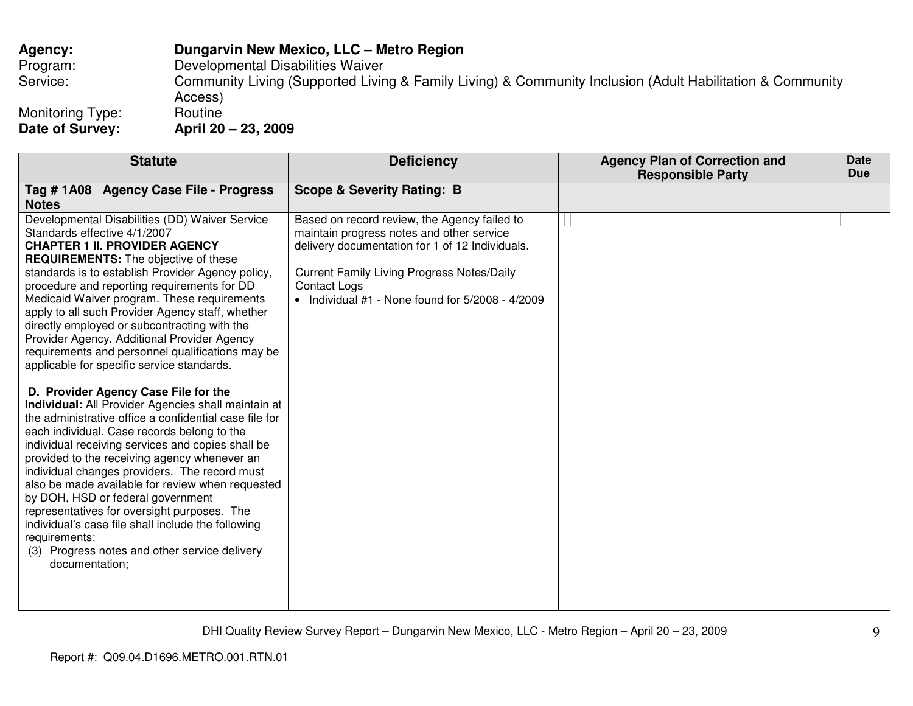# **Agency: Dungarvin New Mexico, LLC – Metro Region** Program: Developmental Disabilities Waiver Service: Community Living (Supported Living & Family Living) & Community Inclusion (Adult Habilitation & Community Access)

Monitoring Type:<br>Date of Survey: **Date of Survey: April 20 – 23, 2009** 

Routine

| <b>Statute</b>                                                                                                                                                                                                                                                                                                                                                                                                                                                                                                                                                                                                                                                                                    | <b>Deficiency</b>                                                                                                                                                                                                                                                                | <b>Agency Plan of Correction and</b><br><b>Responsible Party</b> | <b>Date</b><br><b>Due</b> |
|---------------------------------------------------------------------------------------------------------------------------------------------------------------------------------------------------------------------------------------------------------------------------------------------------------------------------------------------------------------------------------------------------------------------------------------------------------------------------------------------------------------------------------------------------------------------------------------------------------------------------------------------------------------------------------------------------|----------------------------------------------------------------------------------------------------------------------------------------------------------------------------------------------------------------------------------------------------------------------------------|------------------------------------------------------------------|---------------------------|
| Tag # 1A08 Agency Case File - Progress<br><b>Notes</b>                                                                                                                                                                                                                                                                                                                                                                                                                                                                                                                                                                                                                                            | <b>Scope &amp; Severity Rating: B</b>                                                                                                                                                                                                                                            |                                                                  |                           |
| Developmental Disabilities (DD) Waiver Service<br>Standards effective 4/1/2007<br><b>CHAPTER 1 II. PROVIDER AGENCY</b><br><b>REQUIREMENTS:</b> The objective of these<br>standards is to establish Provider Agency policy,<br>procedure and reporting requirements for DD<br>Medicaid Waiver program. These requirements<br>apply to all such Provider Agency staff, whether<br>directly employed or subcontracting with the<br>Provider Agency. Additional Provider Agency<br>requirements and personnel qualifications may be                                                                                                                                                                   | Based on record review, the Agency failed to<br>maintain progress notes and other service<br>delivery documentation for 1 of 12 Individuals.<br><b>Current Family Living Progress Notes/Daily</b><br><b>Contact Logs</b><br>• Individual $#1$ - None found for $5/2008 - 4/2009$ |                                                                  |                           |
| applicable for specific service standards.<br>D. Provider Agency Case File for the<br><b>Individual:</b> All Provider Agencies shall maintain at<br>the administrative office a confidential case file for<br>each individual. Case records belong to the<br>individual receiving services and copies shall be<br>provided to the receiving agency whenever an<br>individual changes providers. The record must<br>also be made available for review when requested<br>by DOH, HSD or federal government<br>representatives for oversight purposes. The<br>individual's case file shall include the following<br>requirements:<br>(3) Progress notes and other service delivery<br>documentation; |                                                                                                                                                                                                                                                                                  |                                                                  |                           |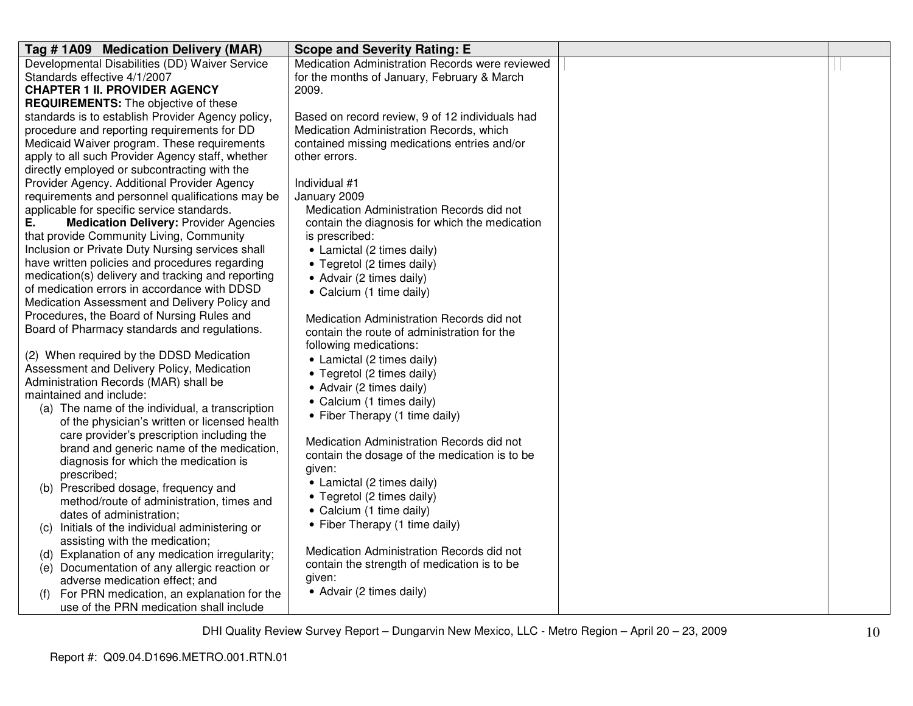| Tag # 1A09 Medication Delivery (MAR)                | <b>Scope and Severity Rating: E</b>             |  |
|-----------------------------------------------------|-------------------------------------------------|--|
| Developmental Disabilities (DD) Waiver Service      | Medication Administration Records were reviewed |  |
| Standards effective 4/1/2007                        | for the months of January, February & March     |  |
| <b>CHAPTER 1 II. PROVIDER AGENCY</b>                | 2009.                                           |  |
| <b>REQUIREMENTS:</b> The objective of these         |                                                 |  |
| standards is to establish Provider Agency policy,   | Based on record review, 9 of 12 individuals had |  |
| procedure and reporting requirements for DD         | Medication Administration Records, which        |  |
| Medicaid Waiver program. These requirements         | contained missing medications entries and/or    |  |
| apply to all such Provider Agency staff, whether    | other errors.                                   |  |
| directly employed or subcontracting with the        |                                                 |  |
| Provider Agency. Additional Provider Agency         | Individual #1                                   |  |
| requirements and personnel qualifications may be    | January 2009                                    |  |
| applicable for specific service standards.          | Medication Administration Records did not       |  |
| <b>Medication Delivery: Provider Agencies</b><br>Е. | contain the diagnosis for which the medication  |  |
| that provide Community Living, Community            | is prescribed:                                  |  |
| Inclusion or Private Duty Nursing services shall    | • Lamictal (2 times daily)                      |  |
| have written policies and procedures regarding      | • Tegretol (2 times daily)                      |  |
| medication(s) delivery and tracking and reporting   | • Advair (2 times daily)                        |  |
| of medication errors in accordance with DDSD        | • Calcium (1 time daily)                        |  |
| Medication Assessment and Delivery Policy and       |                                                 |  |
| Procedures, the Board of Nursing Rules and          | Medication Administration Records did not       |  |
| Board of Pharmacy standards and regulations.        | contain the route of administration for the     |  |
|                                                     | following medications:                          |  |
| (2) When required by the DDSD Medication            | • Lamictal (2 times daily)                      |  |
| Assessment and Delivery Policy, Medication          | • Tegretol (2 times daily)                      |  |
| Administration Records (MAR) shall be               | • Advair (2 times daily)                        |  |
| maintained and include:                             | • Calcium (1 times daily)                       |  |
| (a) The name of the individual, a transcription     | • Fiber Therapy (1 time daily)                  |  |
| of the physician's written or licensed health       |                                                 |  |
| care provider's prescription including the          | Medication Administration Records did not       |  |
| brand and generic name of the medication,           | contain the dosage of the medication is to be   |  |
| diagnosis for which the medication is               | given:                                          |  |
| prescribed;                                         | • Lamictal (2 times daily)                      |  |
| (b) Prescribed dosage, frequency and                | • Tegretol (2 times daily)                      |  |
| method/route of administration, times and           | • Calcium (1 time daily)                        |  |
| dates of administration;                            |                                                 |  |
| Initials of the individual administering or<br>(C)  | • Fiber Therapy (1 time daily)                  |  |
| assisting with the medication;                      | Medication Administration Records did not       |  |
| (d) Explanation of any medication irregularity;     |                                                 |  |
| (e) Documentation of any allergic reaction or       | contain the strength of medication is to be     |  |
| adverse medication effect; and                      | given:                                          |  |
| For PRN medication, an explanation for the          | • Advair (2 times daily)                        |  |
| use of the PRN medication shall include             |                                                 |  |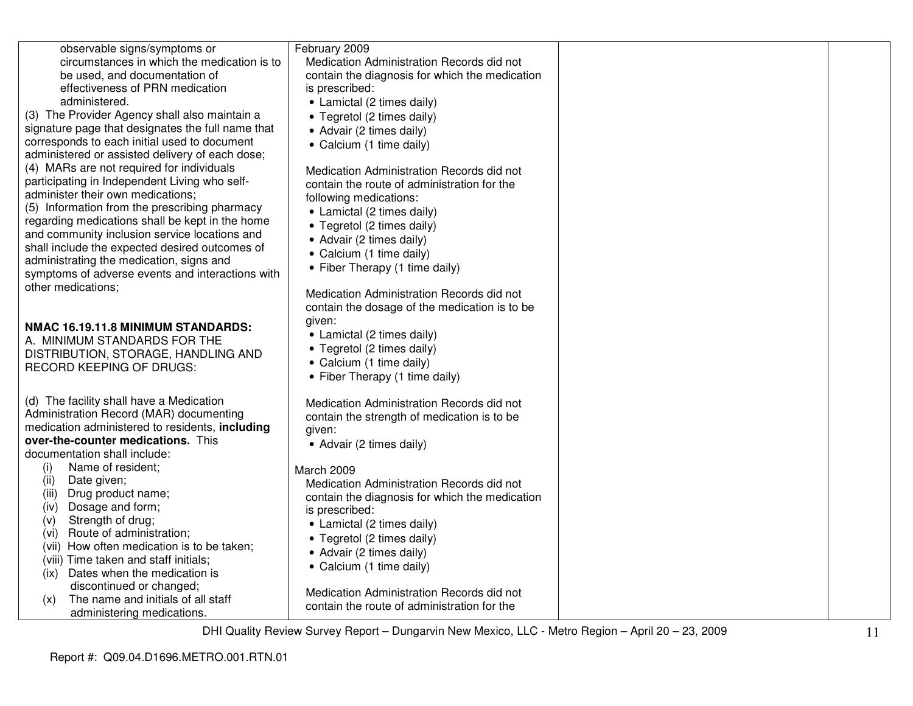| observable signs/symptoms or<br>circumstances in which the medication is to<br>be used, and documentation of<br>effectiveness of PRN medication<br>administered.                                                                    | February 2009<br>Medication Administration Records did not<br>contain the diagnosis for which the medication<br>is prescribed:<br>• Lamictal (2 times daily) |  |
|-------------------------------------------------------------------------------------------------------------------------------------------------------------------------------------------------------------------------------------|--------------------------------------------------------------------------------------------------------------------------------------------------------------|--|
| (3) The Provider Agency shall also maintain a<br>signature page that designates the full name that<br>corresponds to each initial used to document<br>administered or assisted delivery of each dose;                               | • Tegretol (2 times daily)<br>• Advair (2 times daily)<br>• Calcium (1 time daily)                                                                           |  |
| (4) MARs are not required for individuals<br>participating in Independent Living who self-<br>administer their own medications;<br>(5) Information from the prescribing pharmacy<br>regarding medications shall be kept in the home | Medication Administration Records did not<br>contain the route of administration for the<br>following medications:<br>• Lamictal (2 times daily)             |  |
| and community inclusion service locations and<br>shall include the expected desired outcomes of<br>administrating the medication, signs and<br>symptoms of adverse events and interactions with                                     | • Tegretol (2 times daily)<br>• Advair (2 times daily)<br>• Calcium (1 time daily)<br>• Fiber Therapy (1 time daily)                                         |  |
| other medications;<br>NMAC 16.19.11.8 MINIMUM STANDARDS:                                                                                                                                                                            | Medication Administration Records did not<br>contain the dosage of the medication is to be<br>given:<br>• Lamictal (2 times daily)                           |  |
| A. MINIMUM STANDARDS FOR THE<br>DISTRIBUTION, STORAGE, HANDLING AND<br><b>RECORD KEEPING OF DRUGS:</b>                                                                                                                              | • Tegretol (2 times daily)<br>• Calcium (1 time daily)<br>• Fiber Therapy (1 time daily)                                                                     |  |
| (d) The facility shall have a Medication<br>Administration Record (MAR) documenting<br>medication administered to residents, including<br>over-the-counter medications. This                                                        | Medication Administration Records did not<br>contain the strength of medication is to be<br>given:<br>• Advair (2 times daily)                               |  |
| documentation shall include:<br>Name of resident;<br>(i)<br>(ii)<br>Date given;<br>Drug product name;<br>(iii)<br>Dosage and form;<br>(iv)<br>Strength of drug;<br>(v)                                                              | March 2009<br>Medication Administration Records did not<br>contain the diagnosis for which the medication<br>is prescribed:<br>• Lamictal (2 times daily)    |  |
| Route of administration;<br>(vi)<br>(vii) How often medication is to be taken;<br>(viii) Time taken and staff initials;<br>Dates when the medication is<br>(ix)<br>discontinued or changed;                                         | • Tegretol (2 times daily)<br>• Advair (2 times daily)<br>• Calcium (1 time daily)                                                                           |  |
| The name and initials of all staff<br>(x)<br>administering medications.                                                                                                                                                             | Medication Administration Records did not<br>contain the route of administration for the                                                                     |  |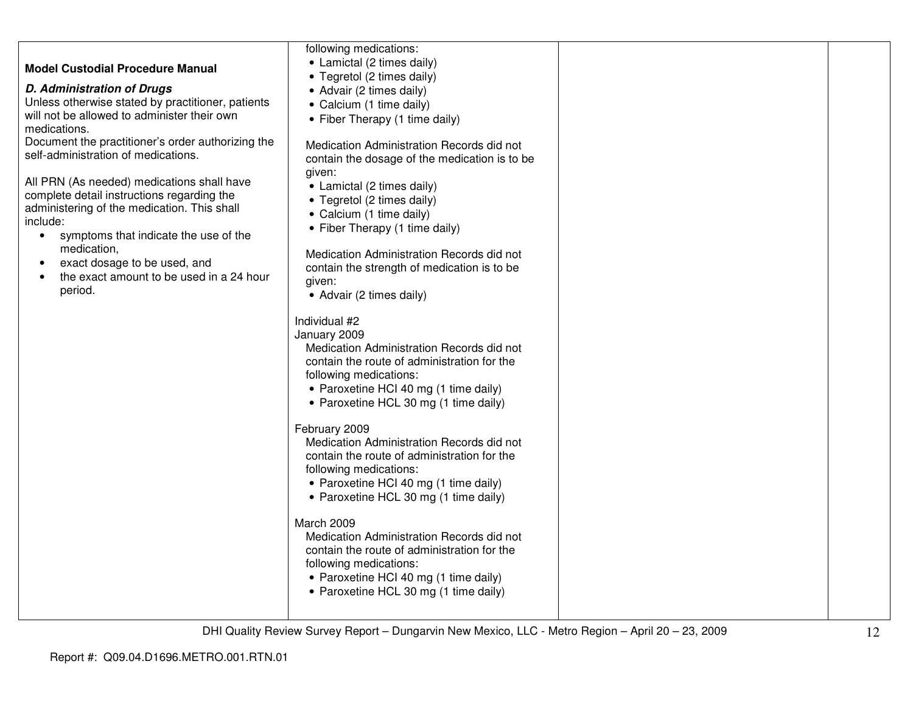|                                                                                       | following medications:                                                         |  |
|---------------------------------------------------------------------------------------|--------------------------------------------------------------------------------|--|
|                                                                                       | • Lamictal (2 times daily)                                                     |  |
| <b>Model Custodial Procedure Manual</b>                                               | • Tegretol (2 times daily)                                                     |  |
| <b>D. Administration of Drugs</b>                                                     | • Advair (2 times daily)                                                       |  |
| Unless otherwise stated by practitioner, patients                                     | • Calcium (1 time daily)                                                       |  |
| will not be allowed to administer their own                                           | • Fiber Therapy (1 time daily)                                                 |  |
| medications.                                                                          |                                                                                |  |
| Document the practitioner's order authorizing the                                     | Medication Administration Records did not                                      |  |
| self-administration of medications.                                                   | contain the dosage of the medication is to be                                  |  |
|                                                                                       | given:                                                                         |  |
| All PRN (As needed) medications shall have                                            | • Lamictal (2 times daily)                                                     |  |
| complete detail instructions regarding the                                            | • Tegretol (2 times daily)                                                     |  |
| administering of the medication. This shall                                           | • Calcium (1 time daily)                                                       |  |
| include:                                                                              | • Fiber Therapy (1 time daily)                                                 |  |
| symptoms that indicate the use of the<br>$\bullet$<br>medication,                     |                                                                                |  |
|                                                                                       | Medication Administration Records did not                                      |  |
| exact dosage to be used, and<br>$\bullet$<br>the exact amount to be used in a 24 hour | contain the strength of medication is to be                                    |  |
| period.                                                                               | given:                                                                         |  |
|                                                                                       | • Advair (2 times daily)                                                       |  |
|                                                                                       |                                                                                |  |
|                                                                                       | Individual #2                                                                  |  |
|                                                                                       | January 2009<br>Medication Administration Records did not                      |  |
|                                                                                       | contain the route of administration for the                                    |  |
|                                                                                       | following medications:                                                         |  |
|                                                                                       | • Paroxetine HCI 40 mg (1 time daily)                                          |  |
|                                                                                       | • Paroxetine HCL 30 mg (1 time daily)                                          |  |
|                                                                                       |                                                                                |  |
|                                                                                       | February 2009                                                                  |  |
|                                                                                       | Medication Administration Records did not                                      |  |
|                                                                                       | contain the route of administration for the                                    |  |
|                                                                                       | following medications:                                                         |  |
|                                                                                       | • Paroxetine HCI 40 mg (1 time daily)                                          |  |
|                                                                                       | • Paroxetine HCL 30 mg (1 time daily)                                          |  |
|                                                                                       |                                                                                |  |
|                                                                                       | March 2009                                                                     |  |
|                                                                                       | Medication Administration Records did not                                      |  |
|                                                                                       | contain the route of administration for the                                    |  |
|                                                                                       | following medications:                                                         |  |
|                                                                                       | • Paroxetine HCI 40 mg (1 time daily)<br>• Paroxetine HCL 30 mg (1 time daily) |  |
|                                                                                       |                                                                                |  |
|                                                                                       |                                                                                |  |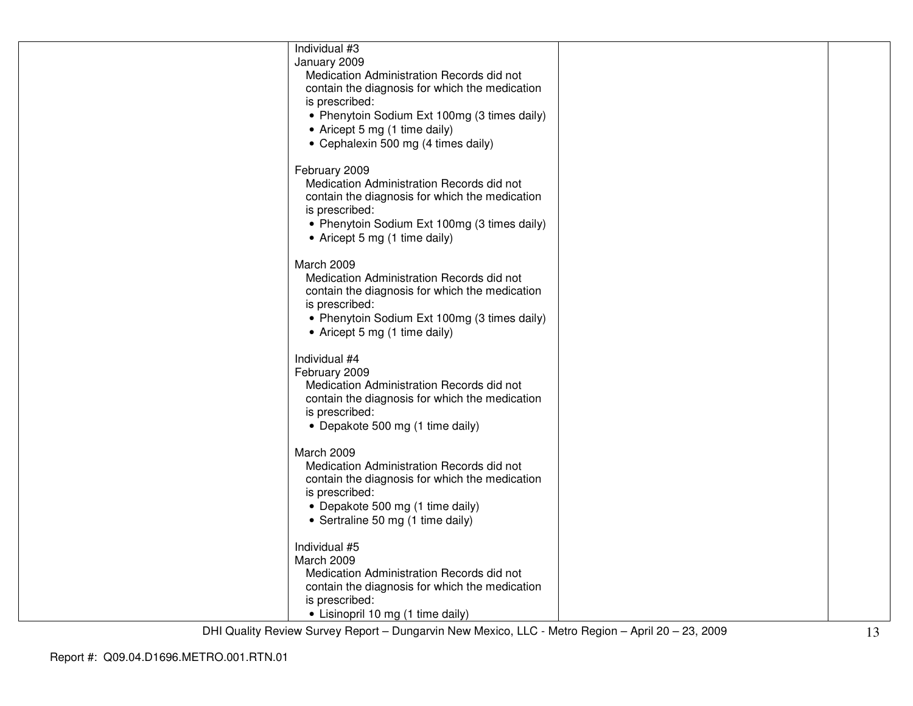| Individual #3<br>January 2009<br>Medication Administration Records did not<br>contain the diagnosis for which the medication<br>is prescribed:<br>• Phenytoin Sodium Ext 100mg (3 times daily)<br>• Aricept 5 mg (1 time daily)<br>• Cephalexin 500 mg (4 times daily) |  |
|------------------------------------------------------------------------------------------------------------------------------------------------------------------------------------------------------------------------------------------------------------------------|--|
| February 2009<br>Medication Administration Records did not<br>contain the diagnosis for which the medication<br>is prescribed:<br>• Phenytoin Sodium Ext 100mg (3 times daily)<br>• Aricept 5 mg (1 time daily)                                                        |  |
| March 2009<br>Medication Administration Records did not<br>contain the diagnosis for which the medication<br>is prescribed:<br>• Phenytoin Sodium Ext 100mg (3 times daily)<br>• Aricept 5 mg (1 time daily)                                                           |  |
| Individual #4<br>February 2009<br>Medication Administration Records did not<br>contain the diagnosis for which the medication<br>is prescribed:<br>• Depakote 500 mg (1 time daily)                                                                                    |  |
| March 2009<br>Medication Administration Records did not<br>contain the diagnosis for which the medication<br>is prescribed:<br>• Depakote 500 mg (1 time daily)<br>• Sertraline 50 mg (1 time daily)                                                                   |  |
| Individual #5<br>March 2009<br>Medication Administration Records did not<br>contain the diagnosis for which the medication<br>is prescribed:<br>• Lisinopril 10 mg (1 time daily)                                                                                      |  |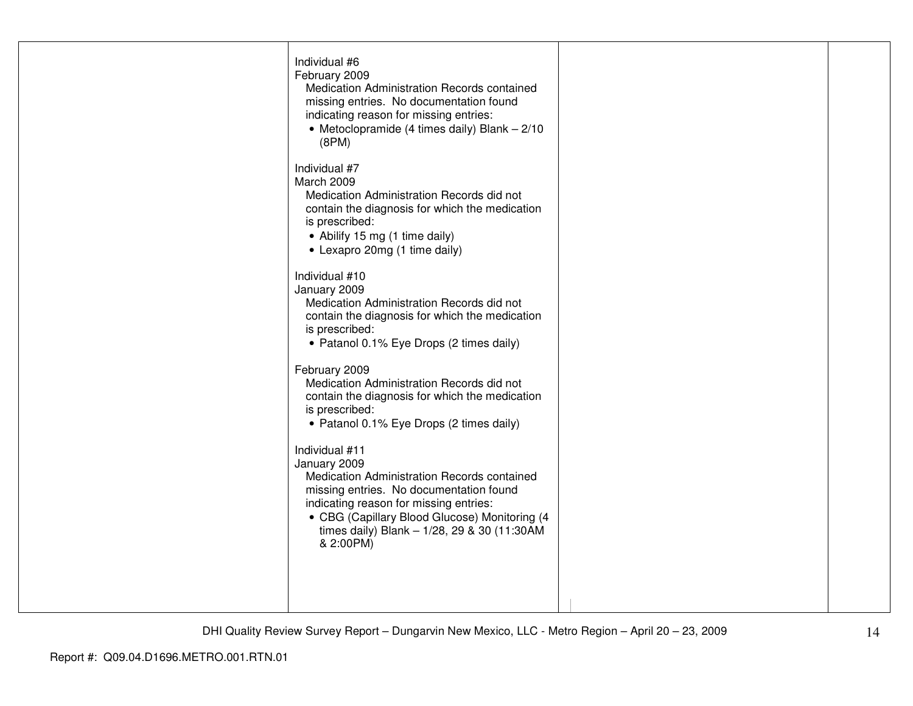| Individual #6<br>February 2009<br>Medication Administration Records contained<br>missing entries. No documentation found<br>indicating reason for missing entries:<br>• Metoclopramide (4 times daily) Blank $-2/10$<br>(8PM)                                                   |  |
|---------------------------------------------------------------------------------------------------------------------------------------------------------------------------------------------------------------------------------------------------------------------------------|--|
| Individual #7<br>March 2009<br>Medication Administration Records did not<br>contain the diagnosis for which the medication<br>is prescribed:<br>• Abilify 15 mg (1 time daily)<br>• Lexapro 20mg (1 time daily)                                                                 |  |
| Individual #10<br>January 2009<br>Medication Administration Records did not<br>contain the diagnosis for which the medication<br>is prescribed:<br>• Patanol 0.1% Eye Drops (2 times daily)                                                                                     |  |
| February 2009<br>Medication Administration Records did not<br>contain the diagnosis for which the medication<br>is prescribed:<br>• Patanol 0.1% Eye Drops (2 times daily)                                                                                                      |  |
| Individual #11<br>January 2009<br>Medication Administration Records contained<br>missing entries. No documentation found<br>indicating reason for missing entries:<br>• CBG (Capillary Blood Glucose) Monitoring (4<br>times daily) Blank - 1/28, 29 & 30 (11:30AM<br>& 2:00PM) |  |
|                                                                                                                                                                                                                                                                                 |  |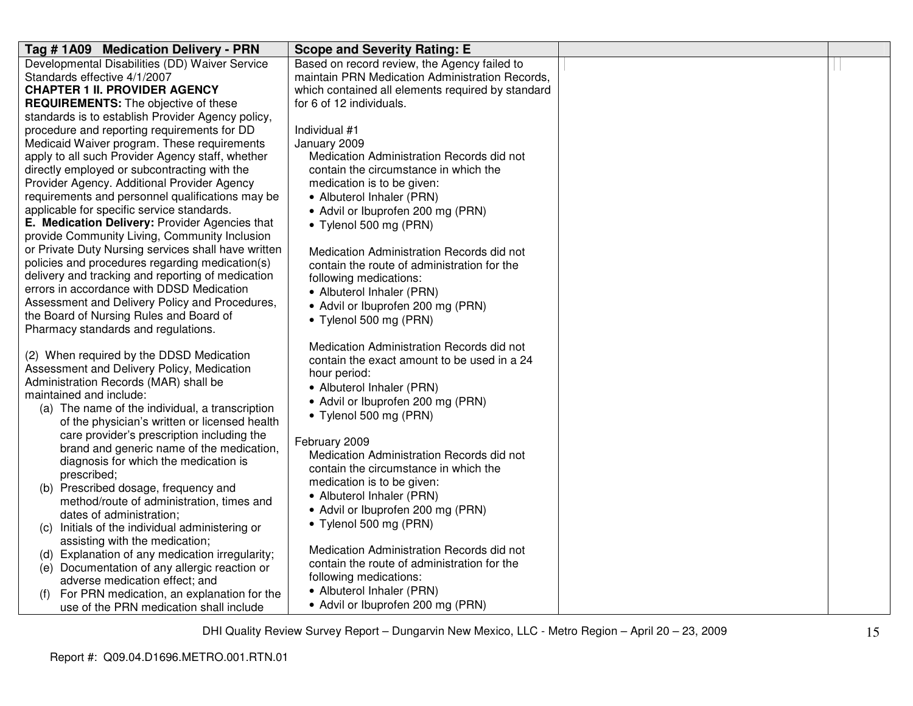| Tag #1A09 Medication Delivery - PRN                 | <b>Scope and Severity Rating: E</b>               |  |
|-----------------------------------------------------|---------------------------------------------------|--|
| Developmental Disabilities (DD) Waiver Service      | Based on record review, the Agency failed to      |  |
| Standards effective 4/1/2007                        | maintain PRN Medication Administration Records,   |  |
| <b>CHAPTER 1 II. PROVIDER AGENCY</b>                | which contained all elements required by standard |  |
| <b>REQUIREMENTS:</b> The objective of these         | for 6 of 12 individuals.                          |  |
| standards is to establish Provider Agency policy,   |                                                   |  |
| procedure and reporting requirements for DD         | Individual #1                                     |  |
| Medicaid Waiver program. These requirements         | January 2009                                      |  |
| apply to all such Provider Agency staff, whether    | Medication Administration Records did not         |  |
| directly employed or subcontracting with the        | contain the circumstance in which the             |  |
| Provider Agency. Additional Provider Agency         | medication is to be given:                        |  |
| requirements and personnel qualifications may be    | • Albuterol Inhaler (PRN)                         |  |
| applicable for specific service standards.          | • Advil or Ibuprofen 200 mg (PRN)                 |  |
| E. Medication Delivery: Provider Agencies that      | • Tylenol 500 mg (PRN)                            |  |
| provide Community Living, Community Inclusion       |                                                   |  |
| or Private Duty Nursing services shall have written | Medication Administration Records did not         |  |
| policies and procedures regarding medication(s)     | contain the route of administration for the       |  |
| delivery and tracking and reporting of medication   | following medications:                            |  |
| errors in accordance with DDSD Medication           | • Albuterol Inhaler (PRN)                         |  |
| Assessment and Delivery Policy and Procedures,      | • Advil or Ibuprofen 200 mg (PRN)                 |  |
| the Board of Nursing Rules and Board of             | • Tylenol 500 mg (PRN)                            |  |
| Pharmacy standards and regulations.                 |                                                   |  |
|                                                     | Medication Administration Records did not         |  |
| (2) When required by the DDSD Medication            | contain the exact amount to be used in a 24       |  |
| Assessment and Delivery Policy, Medication          | hour period:                                      |  |
| Administration Records (MAR) shall be               | • Albuterol Inhaler (PRN)                         |  |
| maintained and include:                             | • Advil or Ibuprofen 200 mg (PRN)                 |  |
| (a) The name of the individual, a transcription     | • Tylenol 500 mg (PRN)                            |  |
| of the physician's written or licensed health       |                                                   |  |
| care provider's prescription including the          | February 2009                                     |  |
| brand and generic name of the medication,           | Medication Administration Records did not         |  |
| diagnosis for which the medication is               | contain the circumstance in which the             |  |
| prescribed;                                         | medication is to be given:                        |  |
| (b) Prescribed dosage, frequency and                | • Albuterol Inhaler (PRN)                         |  |
| method/route of administration, times and           | • Advil or Ibuprofen 200 mg (PRN)                 |  |
| dates of administration;                            | • Tylenol 500 mg (PRN)                            |  |
| Initials of the individual administering or<br>(C)  |                                                   |  |
| assisting with the medication;                      | Medication Administration Records did not         |  |
| Explanation of any medication irregularity;<br>(d)  | contain the route of administration for the       |  |
| (e) Documentation of any allergic reaction or       | following medications:                            |  |
| adverse medication effect; and                      | • Albuterol Inhaler (PRN)                         |  |
| For PRN medication, an explanation for the<br>(f)   |                                                   |  |
| use of the PRN medication shall include             | • Advil or Ibuprofen 200 mg (PRN)                 |  |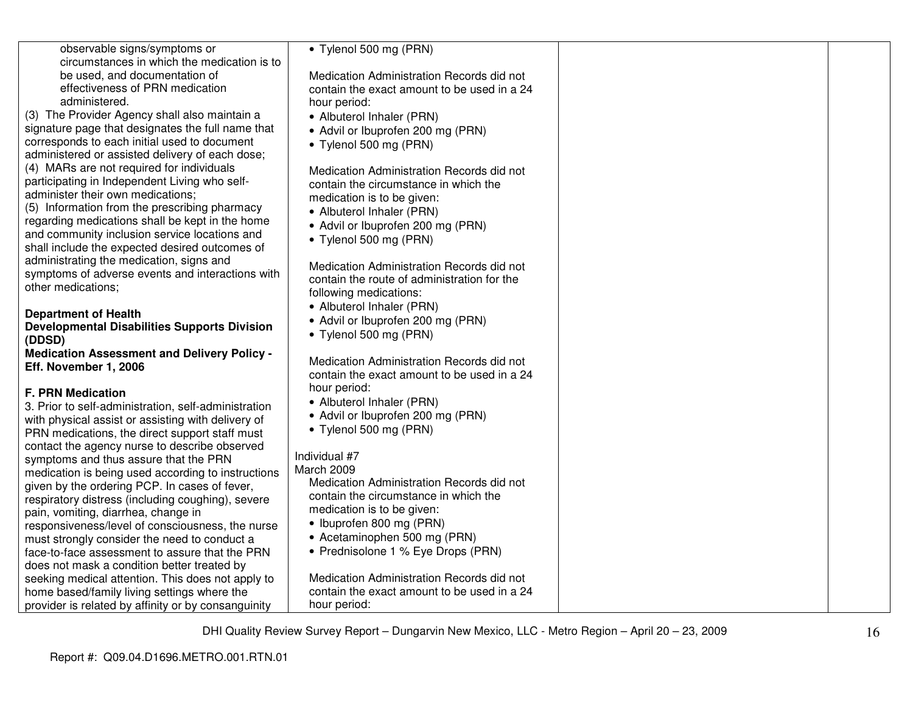| observable signs/symptoms or                                 | • Tylenol 500 mg (PRN)                                                                   |  |
|--------------------------------------------------------------|------------------------------------------------------------------------------------------|--|
| circumstances in which the medication is to                  |                                                                                          |  |
| be used, and documentation of                                | Medication Administration Records did not                                                |  |
| effectiveness of PRN medication                              | contain the exact amount to be used in a 24                                              |  |
| administered.                                                | hour period:                                                                             |  |
| (3) The Provider Agency shall also maintain a                | • Albuterol Inhaler (PRN)                                                                |  |
| signature page that designates the full name that            | • Advil or Ibuprofen 200 mg (PRN)                                                        |  |
| corresponds to each initial used to document                 | • Tylenol 500 mg (PRN)                                                                   |  |
| administered or assisted delivery of each dose;              |                                                                                          |  |
| (4) MARs are not required for individuals                    | Medication Administration Records did not                                                |  |
| participating in Independent Living who self-                | contain the circumstance in which the                                                    |  |
| administer their own medications;                            | medication is to be given:                                                               |  |
| (5) Information from the prescribing pharmacy                | • Albuterol Inhaler (PRN)                                                                |  |
| regarding medications shall be kept in the home              | • Advil or Ibuprofen 200 mg (PRN)                                                        |  |
| and community inclusion service locations and                | • Tylenol 500 mg (PRN)                                                                   |  |
| shall include the expected desired outcomes of               |                                                                                          |  |
| administrating the medication, signs and                     | Medication Administration Records did not                                                |  |
| symptoms of adverse events and interactions with             | contain the route of administration for the                                              |  |
| other medications;                                           | following medications:                                                                   |  |
|                                                              | • Albuterol Inhaler (PRN)                                                                |  |
| <b>Department of Health</b>                                  | • Advil or Ibuprofen 200 mg (PRN)                                                        |  |
| <b>Developmental Disabilities Supports Division</b>          | • Tylenol 500 mg (PRN)                                                                   |  |
| (DDSD)<br><b>Medication Assessment and Delivery Policy -</b> |                                                                                          |  |
| Eff. November 1, 2006                                        | Medication Administration Records did not                                                |  |
|                                                              | contain the exact amount to be used in a 24                                              |  |
| <b>F. PRN Medication</b>                                     | hour period:                                                                             |  |
| 3. Prior to self-administration, self-administration         | • Albuterol Inhaler (PRN)                                                                |  |
| with physical assist or assisting with delivery of           | • Advil or Ibuprofen 200 mg (PRN)                                                        |  |
| PRN medications, the direct support staff must               | • Tylenol 500 mg (PRN)                                                                   |  |
| contact the agency nurse to describe observed                |                                                                                          |  |
| symptoms and thus assure that the PRN                        | Individual #7                                                                            |  |
| medication is being used according to instructions           | March 2009                                                                               |  |
| given by the ordering PCP. In cases of fever,                | Medication Administration Records did not                                                |  |
| respiratory distress (including coughing), severe            | contain the circumstance in which the                                                    |  |
| pain, vomiting, diarrhea, change in                          | medication is to be given:                                                               |  |
| responsiveness/level of consciousness, the nurse             | • Ibuprofen 800 mg (PRN)                                                                 |  |
| must strongly consider the need to conduct a                 | • Acetaminophen 500 mg (PRN)                                                             |  |
| face-to-face assessment to assure that the PRN               | • Prednisolone 1 % Eye Drops (PRN)                                                       |  |
| does not mask a condition better treated by                  |                                                                                          |  |
| seeking medical attention. This does not apply to            | Medication Administration Records did not<br>contain the exact amount to be used in a 24 |  |
| home based/family living settings where the                  | hour period:                                                                             |  |
| provider is related by affinity or by consanguinity          |                                                                                          |  |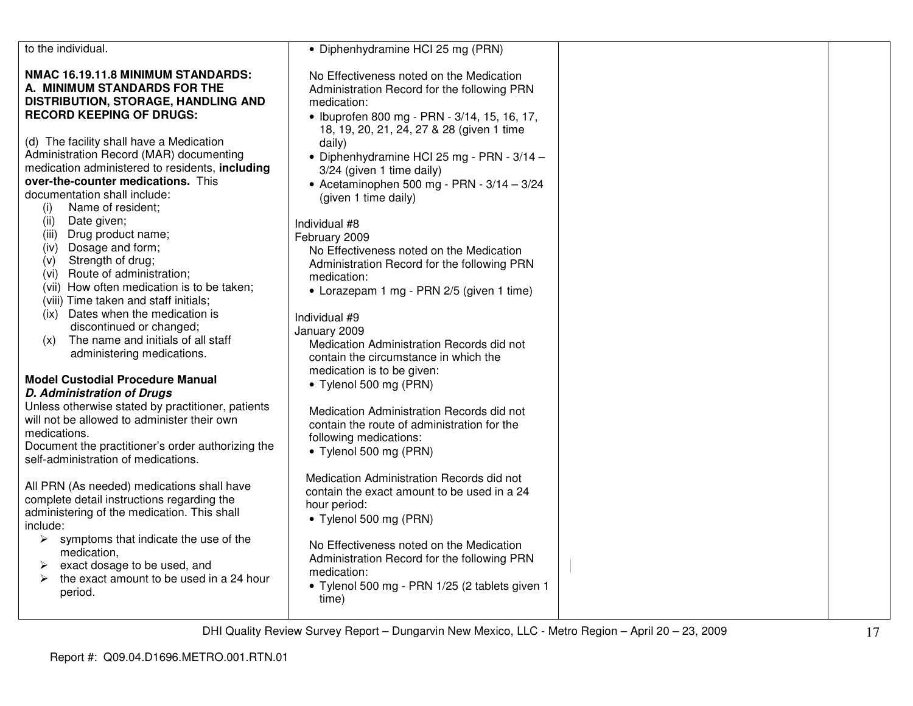| to the individual.                                                                                        | • Diphenhydramine HCI 25 mg (PRN)                                                                      |  |
|-----------------------------------------------------------------------------------------------------------|--------------------------------------------------------------------------------------------------------|--|
| NMAC 16.19.11.8 MINIMUM STANDARDS:<br>A. MINIMUM STANDARDS FOR THE<br>DISTRIBUTION, STORAGE, HANDLING AND | No Effectiveness noted on the Medication<br>Administration Record for the following PRN<br>medication: |  |
|                                                                                                           |                                                                                                        |  |
| <b>RECORD KEEPING OF DRUGS:</b>                                                                           | • Ibuprofen 800 mg - PRN - 3/14, 15, 16, 17,<br>18, 19, 20, 21, 24, 27 & 28 (given 1 time              |  |
| (d) The facility shall have a Medication                                                                  | daily)                                                                                                 |  |
| Administration Record (MAR) documenting                                                                   | • Diphenhydramine HCl 25 mg - PRN - 3/14 -                                                             |  |
| medication administered to residents, including                                                           | 3/24 (given 1 time daily)                                                                              |  |
| over-the-counter medications. This                                                                        | • Acetaminophen 500 mg - PRN - $3/14 - 3/24$                                                           |  |
| documentation shall include:<br>Name of resident;                                                         | (given 1 time daily)                                                                                   |  |
| (i)<br>Date given;<br>(ii)                                                                                |                                                                                                        |  |
| (iii) Drug product name;                                                                                  | Individual #8                                                                                          |  |
| (iv) Dosage and form;                                                                                     | February 2009<br>No Effectiveness noted on the Medication                                              |  |
| Strength of drug;<br>(V)                                                                                  | Administration Record for the following PRN                                                            |  |
| (vi) Route of administration;                                                                             | medication:                                                                                            |  |
| (vii) How often medication is to be taken;                                                                | • Lorazepam 1 mg - PRN 2/5 (given 1 time)                                                              |  |
| (viii) Time taken and staff initials;                                                                     |                                                                                                        |  |
| Dates when the medication is<br>(ix)                                                                      | Individual #9                                                                                          |  |
| discontinued or changed;                                                                                  | January 2009                                                                                           |  |
| The name and initials of all staff<br>(x)<br>administering medications.                                   | Medication Administration Records did not                                                              |  |
|                                                                                                           | contain the circumstance in which the                                                                  |  |
| <b>Model Custodial Procedure Manual</b>                                                                   | medication is to be given:                                                                             |  |
| <b>D. Administration of Drugs</b>                                                                         | • Tylenol 500 mg (PRN)                                                                                 |  |
| Unless otherwise stated by practitioner, patients                                                         | Medication Administration Records did not                                                              |  |
| will not be allowed to administer their own                                                               | contain the route of administration for the                                                            |  |
| medications.                                                                                              | following medications:                                                                                 |  |
| Document the practitioner's order authorizing the                                                         | • Tylenol 500 mg (PRN)                                                                                 |  |
| self-administration of medications.                                                                       |                                                                                                        |  |
| All PRN (As needed) medications shall have                                                                | Medication Administration Records did not                                                              |  |
| complete detail instructions regarding the                                                                | contain the exact amount to be used in a 24                                                            |  |
| administering of the medication. This shall                                                               | hour period:                                                                                           |  |
| include:                                                                                                  | • Tylenol 500 mg (PRN)                                                                                 |  |
| $\triangleright$ symptoms that indicate the use of the                                                    | No Effectiveness noted on the Medication                                                               |  |
| medication,                                                                                               | Administration Record for the following PRN                                                            |  |
| exact dosage to be used, and<br>➤                                                                         | medication:                                                                                            |  |
| the exact amount to be used in a 24 hour<br>⋗                                                             | · Tylenol 500 mg - PRN 1/25 (2 tablets given 1                                                         |  |
| period.                                                                                                   | time)                                                                                                  |  |
|                                                                                                           |                                                                                                        |  |
|                                                                                                           |                                                                                                        |  |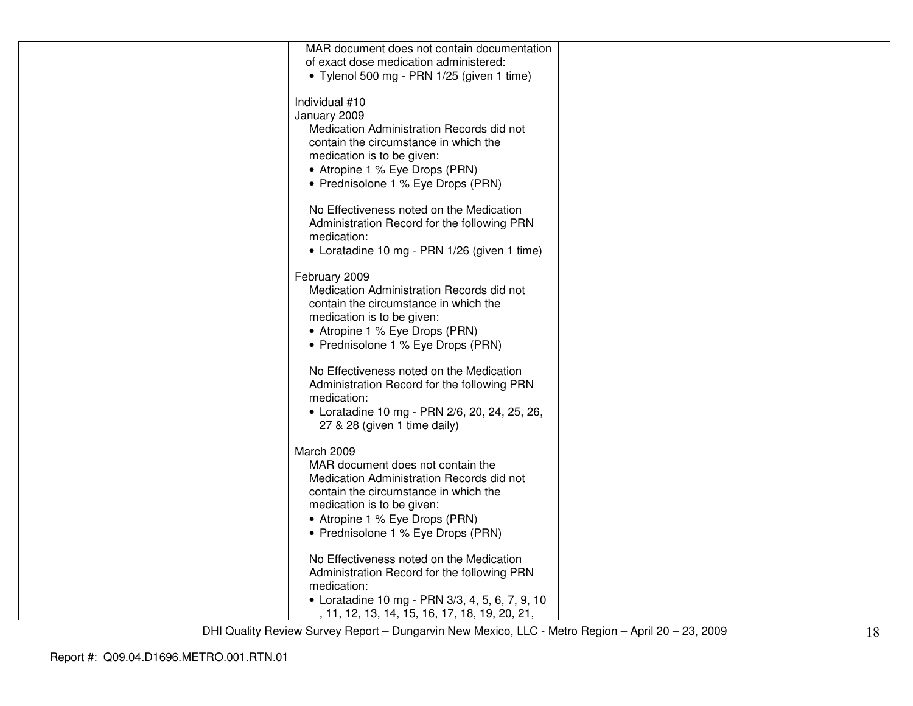| MAR document does not contain documentation     |  |
|-------------------------------------------------|--|
| of exact dose medication administered:          |  |
| • Tylenol 500 mg - PRN 1/25 (given 1 time)      |  |
|                                                 |  |
| Individual #10                                  |  |
| January 2009                                    |  |
| Medication Administration Records did not       |  |
|                                                 |  |
| contain the circumstance in which the           |  |
| medication is to be given:                      |  |
| • Atropine 1 % Eye Drops (PRN)                  |  |
| • Prednisolone 1 % Eye Drops (PRN)              |  |
|                                                 |  |
| No Effectiveness noted on the Medication        |  |
| Administration Record for the following PRN     |  |
| medication:                                     |  |
| • Loratadine 10 mg - PRN 1/26 (given 1 time)    |  |
|                                                 |  |
| February 2009                                   |  |
| Medication Administration Records did not       |  |
|                                                 |  |
| contain the circumstance in which the           |  |
| medication is to be given:                      |  |
| • Atropine 1 % Eye Drops (PRN)                  |  |
| • Prednisolone 1 % Eye Drops (PRN)              |  |
|                                                 |  |
| No Effectiveness noted on the Medication        |  |
| Administration Record for the following PRN     |  |
| medication:                                     |  |
| • Loratadine 10 mg - PRN 2/6, 20, 24, 25, 26,   |  |
| 27 & 28 (given 1 time daily)                    |  |
|                                                 |  |
| March 2009                                      |  |
| MAR document does not contain the               |  |
| Medication Administration Records did not       |  |
|                                                 |  |
| contain the circumstance in which the           |  |
| medication is to be given:                      |  |
| • Atropine 1 % Eye Drops (PRN)                  |  |
| • Prednisolone 1 % Eye Drops (PRN)              |  |
|                                                 |  |
| No Effectiveness noted on the Medication        |  |
| Administration Record for the following PRN     |  |
| medication:                                     |  |
| • Loratadine 10 mg - PRN 3/3, 4, 5, 6, 7, 9, 10 |  |
| , 11, 12, 13, 14, 15, 16, 17, 18, 19, 20, 21,   |  |
|                                                 |  |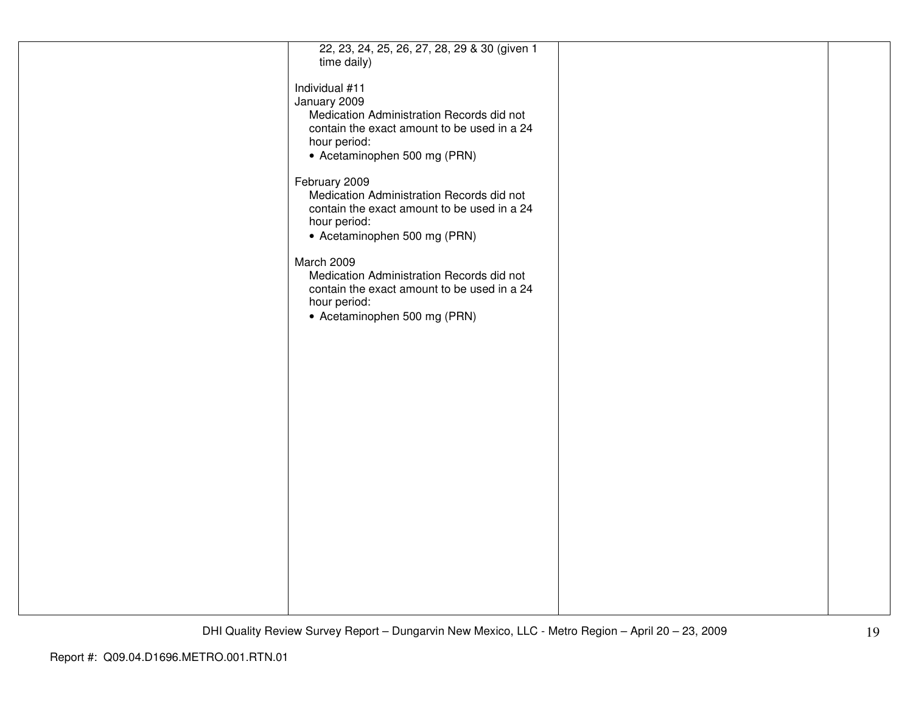| 22, 23, 24, 25, 26, 27, 28, 29 & 30 (given 1 |  |
|----------------------------------------------|--|
| time daily)                                  |  |
|                                              |  |
|                                              |  |
| Individual #11                               |  |
|                                              |  |
| January 2009                                 |  |
| Medication Administration Records did not    |  |
| contain the exact amount to be used in a 24  |  |
|                                              |  |
| hour period:                                 |  |
| • Acetaminophen 500 mg (PRN)                 |  |
|                                              |  |
|                                              |  |
| February 2009                                |  |
|                                              |  |
| Medication Administration Records did not    |  |
| contain the exact amount to be used in a 24  |  |
| hour period:                                 |  |
|                                              |  |
| • Acetaminophen 500 mg (PRN)                 |  |
|                                              |  |
|                                              |  |
| March 2009                                   |  |
| Medication Administration Records did not    |  |
| contain the exact amount to be used in a 24  |  |
|                                              |  |
| hour period:                                 |  |
| • Acetaminophen 500 mg (PRN)                 |  |
|                                              |  |
|                                              |  |
|                                              |  |
|                                              |  |
|                                              |  |
|                                              |  |
|                                              |  |
|                                              |  |
|                                              |  |
|                                              |  |
|                                              |  |
|                                              |  |
|                                              |  |
|                                              |  |
|                                              |  |
|                                              |  |
|                                              |  |
|                                              |  |
|                                              |  |
|                                              |  |
|                                              |  |
|                                              |  |
|                                              |  |
|                                              |  |
|                                              |  |
|                                              |  |
|                                              |  |
|                                              |  |
|                                              |  |
|                                              |  |
|                                              |  |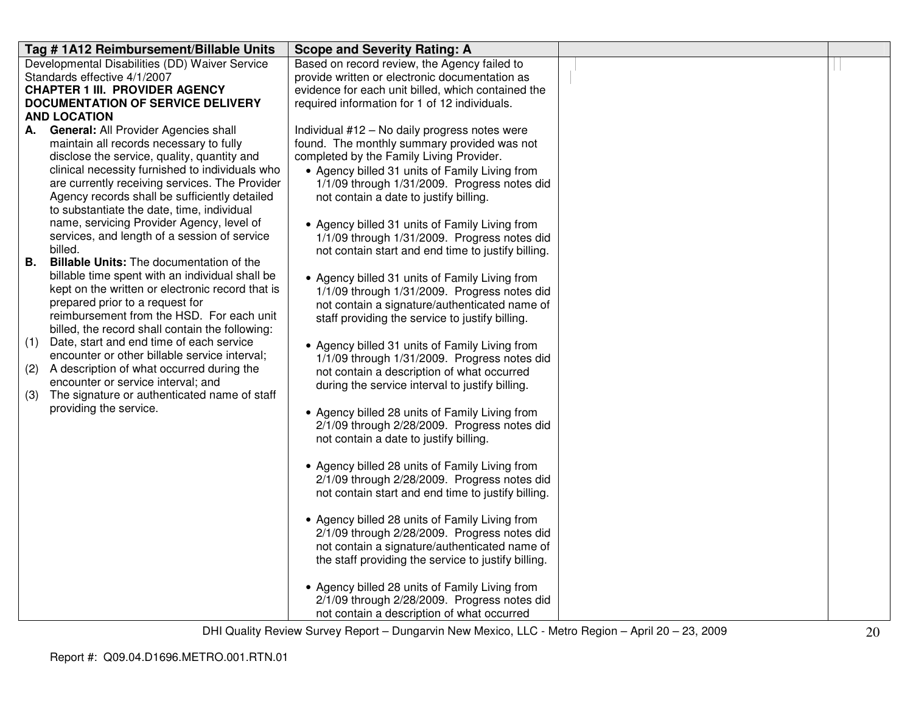|           | Tag #1A12 Reimbursement/Billable Units                                                      | <b>Scope and Severity Rating: A</b>                 |  |
|-----------|---------------------------------------------------------------------------------------------|-----------------------------------------------------|--|
|           | Developmental Disabilities (DD) Waiver Service                                              | Based on record review, the Agency failed to        |  |
|           | Standards effective 4/1/2007                                                                | provide written or electronic documentation as      |  |
|           | <b>CHAPTER 1 III. PROVIDER AGENCY</b>                                                       | evidence for each unit billed, which contained the  |  |
|           | DOCUMENTATION OF SERVICE DELIVERY                                                           | required information for 1 of 12 individuals.       |  |
|           | <b>AND LOCATION</b>                                                                         |                                                     |  |
| А.        | General: All Provider Agencies shall                                                        | Individual #12 - No daily progress notes were       |  |
|           | maintain all records necessary to fully                                                     | found. The monthly summary provided was not         |  |
|           | disclose the service, quality, quantity and                                                 | completed by the Family Living Provider.            |  |
|           | clinical necessity furnished to individuals who                                             | • Agency billed 31 units of Family Living from      |  |
|           | are currently receiving services. The Provider                                              | 1/1/09 through 1/31/2009. Progress notes did        |  |
|           | Agency records shall be sufficiently detailed<br>to substantiate the date, time, individual | not contain a date to justify billing.              |  |
|           | name, servicing Provider Agency, level of                                                   | • Agency billed 31 units of Family Living from      |  |
|           | services, and length of a session of service                                                | 1/1/09 through 1/31/2009. Progress notes did        |  |
|           | billed.                                                                                     | not contain start and end time to justify billing.  |  |
| <b>B.</b> | <b>Billable Units:</b> The documentation of the                                             |                                                     |  |
|           | billable time spent with an individual shall be                                             | • Agency billed 31 units of Family Living from      |  |
|           | kept on the written or electronic record that is                                            | 1/1/09 through 1/31/2009. Progress notes did        |  |
|           | prepared prior to a request for                                                             | not contain a signature/authenticated name of       |  |
|           | reimbursement from the HSD. For each unit                                                   | staff providing the service to justify billing.     |  |
|           | billed, the record shall contain the following:                                             |                                                     |  |
| (1)       | Date, start and end time of each service                                                    | • Agency billed 31 units of Family Living from      |  |
|           | encounter or other billable service interval;                                               | 1/1/09 through 1/31/2009. Progress notes did        |  |
| (2)       | A description of what occurred during the                                                   | not contain a description of what occurred          |  |
|           | encounter or service interval; and                                                          | during the service interval to justify billing.     |  |
| (3)       | The signature or authenticated name of staff                                                |                                                     |  |
|           | providing the service.                                                                      | • Agency billed 28 units of Family Living from      |  |
|           |                                                                                             | 2/1/09 through 2/28/2009. Progress notes did        |  |
|           |                                                                                             | not contain a date to justify billing.              |  |
|           |                                                                                             |                                                     |  |
|           |                                                                                             | • Agency billed 28 units of Family Living from      |  |
|           |                                                                                             | 2/1/09 through 2/28/2009. Progress notes did        |  |
|           |                                                                                             | not contain start and end time to justify billing.  |  |
|           |                                                                                             | • Agency billed 28 units of Family Living from      |  |
|           |                                                                                             | 2/1/09 through 2/28/2009. Progress notes did        |  |
|           |                                                                                             | not contain a signature/authenticated name of       |  |
|           |                                                                                             | the staff providing the service to justify billing. |  |
|           |                                                                                             |                                                     |  |
|           |                                                                                             | • Agency billed 28 units of Family Living from      |  |
|           |                                                                                             | 2/1/09 through 2/28/2009. Progress notes did        |  |
|           |                                                                                             | not contain a description of what occurred          |  |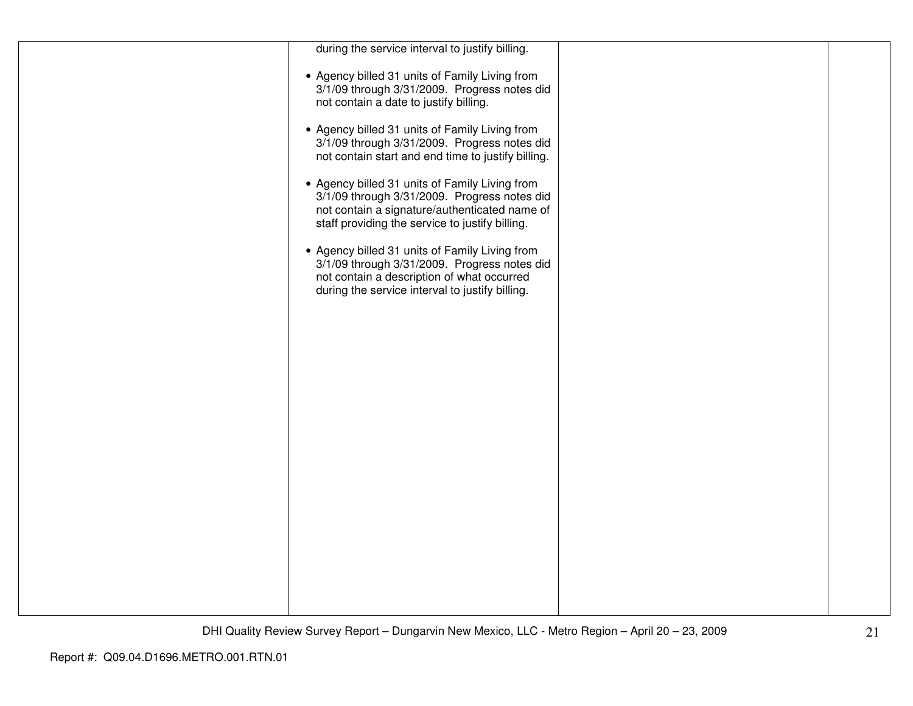| during the service interval to justify billing.                                                                                                                                                    |  |
|----------------------------------------------------------------------------------------------------------------------------------------------------------------------------------------------------|--|
| • Agency billed 31 units of Family Living from<br>3/1/09 through 3/31/2009. Progress notes did<br>not contain a date to justify billing.                                                           |  |
| • Agency billed 31 units of Family Living from<br>3/1/09 through 3/31/2009. Progress notes did<br>not contain start and end time to justify billing.                                               |  |
| • Agency billed 31 units of Family Living from<br>3/1/09 through 3/31/2009. Progress notes did<br>not contain a signature/authenticated name of<br>staff providing the service to justify billing. |  |
| • Agency billed 31 units of Family Living from<br>3/1/09 through 3/31/2009. Progress notes did<br>not contain a description of what occurred<br>during the service interval to justify billing.    |  |
|                                                                                                                                                                                                    |  |
|                                                                                                                                                                                                    |  |
|                                                                                                                                                                                                    |  |
|                                                                                                                                                                                                    |  |
|                                                                                                                                                                                                    |  |
|                                                                                                                                                                                                    |  |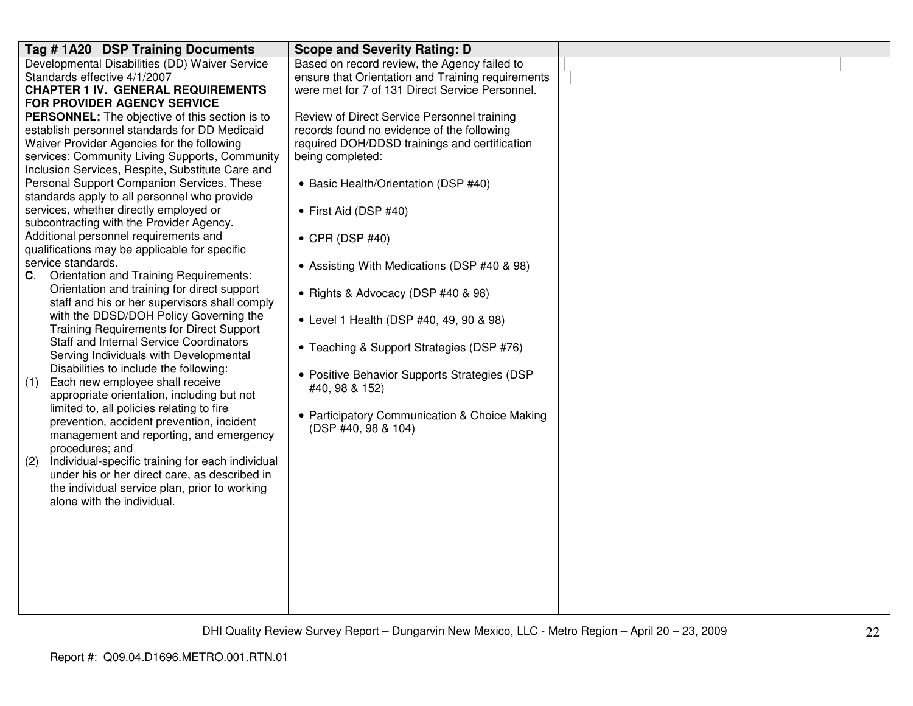| Tag # 1A20 DSP Training Documents                       | <b>Scope and Severity Rating: D</b>               |  |
|---------------------------------------------------------|---------------------------------------------------|--|
| Developmental Disabilities (DD) Waiver Service          | Based on record review, the Agency failed to      |  |
| Standards effective 4/1/2007                            | ensure that Orientation and Training requirements |  |
| <b>CHAPTER 1 IV. GENERAL REQUIREMENTS</b>               | were met for 7 of 131 Direct Service Personnel.   |  |
| FOR PROVIDER AGENCY SERVICE                             |                                                   |  |
| <b>PERSONNEL:</b> The objective of this section is to   | Review of Direct Service Personnel training       |  |
| establish personnel standards for DD Medicaid           | records found no evidence of the following        |  |
| Waiver Provider Agencies for the following              | required DOH/DDSD trainings and certification     |  |
| services: Community Living Supports, Community          | being completed:                                  |  |
| Inclusion Services, Respite, Substitute Care and        |                                                   |  |
| Personal Support Companion Services. These              | • Basic Health/Orientation (DSP #40)              |  |
| standards apply to all personnel who provide            |                                                   |  |
| services, whether directly employed or                  | • First Aid (DSP #40)                             |  |
| subcontracting with the Provider Agency.                |                                                   |  |
| Additional personnel requirements and                   | $\bullet$ CPR (DSP #40)                           |  |
| qualifications may be applicable for specific           |                                                   |  |
| service standards.                                      | • Assisting With Medications (DSP #40 & 98)       |  |
| C. Orientation and Training Requirements:               |                                                   |  |
| Orientation and training for direct support             | • Rights & Advocacy (DSP #40 & 98)                |  |
| staff and his or her supervisors shall comply           |                                                   |  |
| with the DDSD/DOH Policy Governing the                  | • Level 1 Health (DSP #40, 49, 90 & 98)           |  |
| <b>Training Requirements for Direct Support</b>         |                                                   |  |
| <b>Staff and Internal Service Coordinators</b>          | • Teaching & Support Strategies (DSP #76)         |  |
| Serving Individuals with Developmental                  |                                                   |  |
| Disabilities to include the following:                  | • Positive Behavior Supports Strategies (DSP      |  |
| Each new employee shall receive<br>(1)                  | #40, 98 & 152)                                    |  |
| appropriate orientation, including but not              |                                                   |  |
| limited to, all policies relating to fire               | • Participatory Communication & Choice Making     |  |
| prevention, accident prevention, incident               | (DSP #40, 98 & 104)                               |  |
| management and reporting, and emergency                 |                                                   |  |
| procedures; and                                         |                                                   |  |
| Individual-specific training for each individual<br>(2) |                                                   |  |
| under his or her direct care, as described in           |                                                   |  |
| the individual service plan, prior to working           |                                                   |  |
| alone with the individual.                              |                                                   |  |
|                                                         |                                                   |  |
|                                                         |                                                   |  |
|                                                         |                                                   |  |
|                                                         |                                                   |  |
|                                                         |                                                   |  |
|                                                         |                                                   |  |
|                                                         |                                                   |  |
|                                                         |                                                   |  |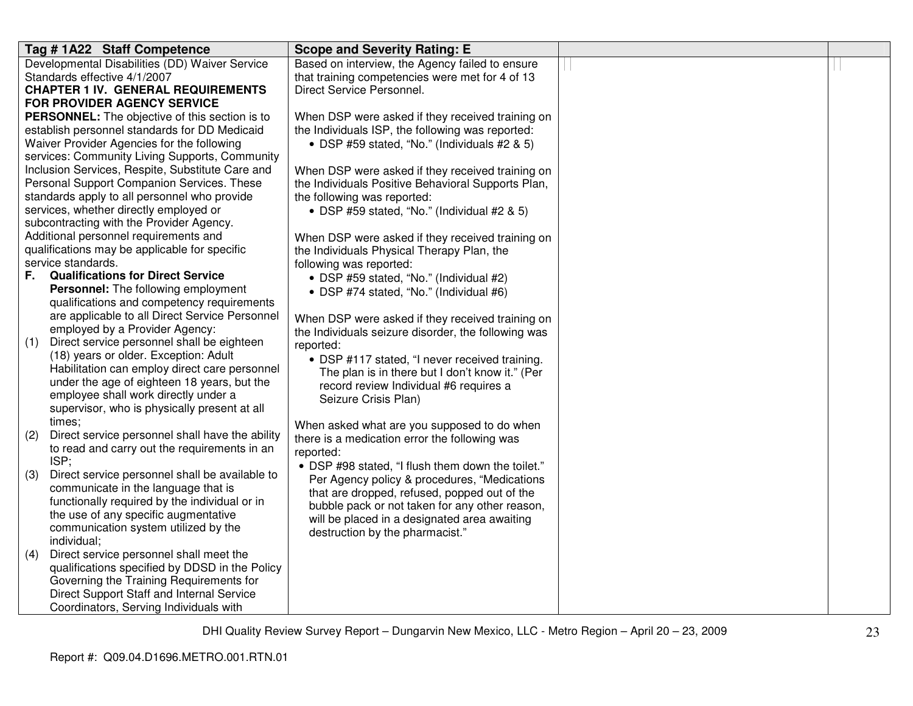| Tag #1A22 Staff Competence                             | <b>Scope and Severity Rating: E</b>                 |  |
|--------------------------------------------------------|-----------------------------------------------------|--|
| Developmental Disabilities (DD) Waiver Service         | Based on interview, the Agency failed to ensure     |  |
| Standards effective 4/1/2007                           | that training competencies were met for 4 of 13     |  |
| <b>CHAPTER 1 IV. GENERAL REQUIREMENTS</b>              | Direct Service Personnel.                           |  |
| <b>FOR PROVIDER AGENCY SERVICE</b>                     |                                                     |  |
| PERSONNEL: The objective of this section is to         | When DSP were asked if they received training on    |  |
| establish personnel standards for DD Medicaid          | the Individuals ISP, the following was reported:    |  |
| Waiver Provider Agencies for the following             | • DSP #59 stated, "No." (Individuals #2 & 5)        |  |
| services: Community Living Supports, Community         |                                                     |  |
| Inclusion Services, Respite, Substitute Care and       | When DSP were asked if they received training on    |  |
| Personal Support Companion Services. These             | the Individuals Positive Behavioral Supports Plan,  |  |
| standards apply to all personnel who provide           | the following was reported:                         |  |
| services, whether directly employed or                 | • DSP #59 stated, "No." (Individual #2 & 5)         |  |
| subcontracting with the Provider Agency.               |                                                     |  |
| Additional personnel requirements and                  | When DSP were asked if they received training on    |  |
| qualifications may be applicable for specific          | the Individuals Physical Therapy Plan, the          |  |
| service standards.                                     | following was reported:                             |  |
| <b>Qualifications for Direct Service</b><br>F.,        | • DSP #59 stated, "No." (Individual #2)             |  |
| Personnel: The following employment                    | • DSP #74 stated, "No." (Individual #6)             |  |
| qualifications and competency requirements             |                                                     |  |
| are applicable to all Direct Service Personnel         | When DSP were asked if they received training on    |  |
| employed by a Provider Agency:                         | the Individuals seizure disorder, the following was |  |
| Direct service personnel shall be eighteen<br>(1)      | reported:                                           |  |
| (18) years or older. Exception: Adult                  | • DSP #117 stated, "I never received training.      |  |
| Habilitation can employ direct care personnel          | The plan is in there but I don't know it." (Per     |  |
| under the age of eighteen 18 years, but the            | record review Individual #6 requires a              |  |
| employee shall work directly under a                   | Seizure Crisis Plan)                                |  |
| supervisor, who is physically present at all           |                                                     |  |
| times;                                                 | When asked what are you supposed to do when         |  |
| Direct service personnel shall have the ability<br>(2) | there is a medication error the following was       |  |
| to read and carry out the requirements in an           | reported:                                           |  |
| ISP;                                                   | • DSP #98 stated, "I flush them down the toilet."   |  |
| Direct service personnel shall be available to<br>(3)  | Per Agency policy & procedures, "Medications        |  |
| communicate in the language that is                    | that are dropped, refused, popped out of the        |  |
| functionally required by the individual or in          | bubble pack or not taken for any other reason,      |  |
| the use of any specific augmentative                   | will be placed in a designated area awaiting        |  |
| communication system utilized by the                   | destruction by the pharmacist."                     |  |
| individual;                                            |                                                     |  |
| Direct service personnel shall meet the<br>(4)         |                                                     |  |
| qualifications specified by DDSD in the Policy         |                                                     |  |
| Governing the Training Requirements for                |                                                     |  |
| Direct Support Staff and Internal Service              |                                                     |  |
| Coordinators, Serving Individuals with                 |                                                     |  |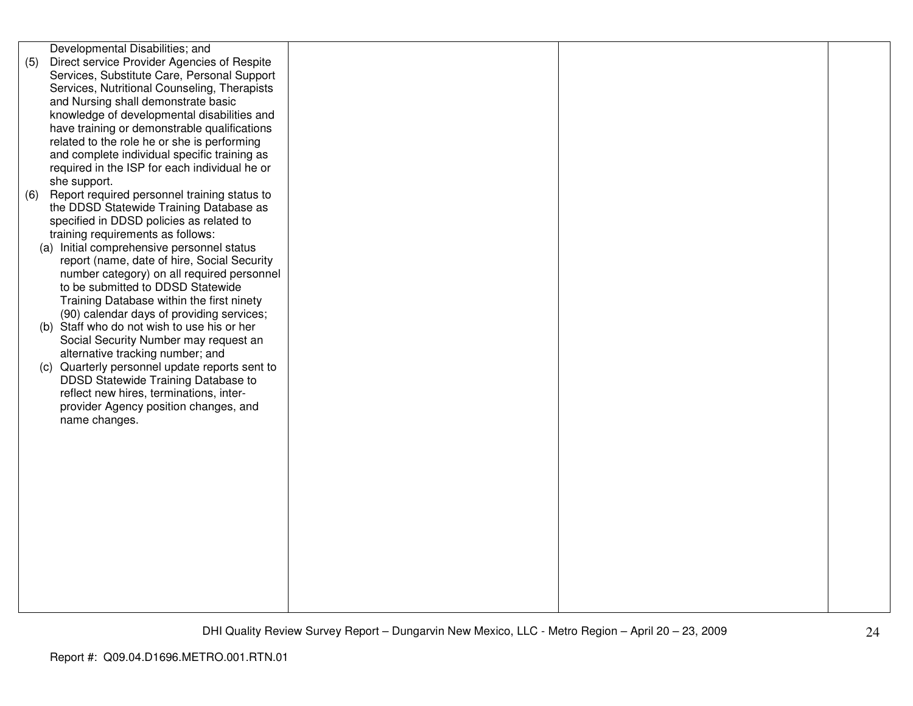| Developmental Disabilities; and                     |  |  |
|-----------------------------------------------------|--|--|
| Direct service Provider Agencies of Respite<br>(5)  |  |  |
| Services, Substitute Care, Personal Support         |  |  |
| Services, Nutritional Counseling, Therapists        |  |  |
| and Nursing shall demonstrate basic                 |  |  |
|                                                     |  |  |
| knowledge of developmental disabilities and         |  |  |
| have training or demonstrable qualifications        |  |  |
| related to the role he or she is performing         |  |  |
| and complete individual specific training as        |  |  |
| required in the ISP for each individual he or       |  |  |
| she support.                                        |  |  |
| Report required personnel training status to<br>(6) |  |  |
| the DDSD Statewide Training Database as             |  |  |
| specified in DDSD policies as related to            |  |  |
| training requirements as follows:                   |  |  |
| (a) Initial comprehensive personnel status          |  |  |
| report (name, date of hire, Social Security         |  |  |
|                                                     |  |  |
| number category) on all required personnel          |  |  |
| to be submitted to DDSD Statewide                   |  |  |
| Training Database within the first ninety           |  |  |
| (90) calendar days of providing services;           |  |  |
| Staff who do not wish to use his or her<br>(b)      |  |  |
| Social Security Number may request an               |  |  |
| alternative tracking number; and                    |  |  |
| (c) Quarterly personnel update reports sent to      |  |  |
| DDSD Statewide Training Database to                 |  |  |
| reflect new hires, terminations, inter-             |  |  |
| provider Agency position changes, and               |  |  |
| name changes.                                       |  |  |
|                                                     |  |  |
|                                                     |  |  |
|                                                     |  |  |
|                                                     |  |  |
|                                                     |  |  |
|                                                     |  |  |
|                                                     |  |  |
|                                                     |  |  |
|                                                     |  |  |
|                                                     |  |  |
|                                                     |  |  |
|                                                     |  |  |
|                                                     |  |  |
|                                                     |  |  |
|                                                     |  |  |
|                                                     |  |  |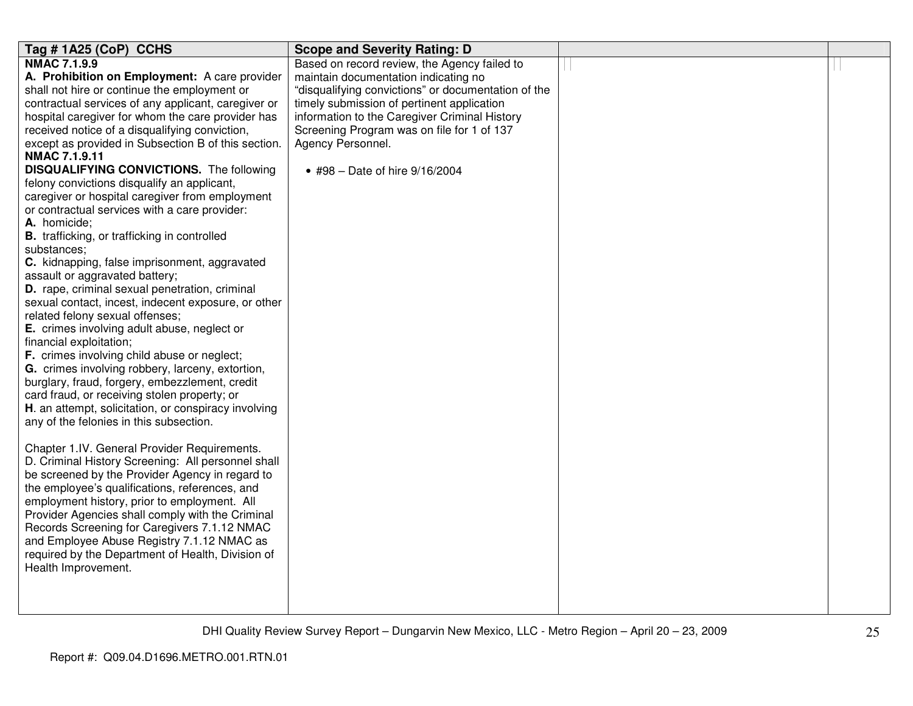| Tag #1A25 (CoP) CCHS                                                                                  | <b>Scope and Severity Rating: D</b>                             |  |
|-------------------------------------------------------------------------------------------------------|-----------------------------------------------------------------|--|
| <b>NMAC 7.1.9.9</b>                                                                                   | Based on record review, the Agency failed to                    |  |
| A. Prohibition on Employment: A care provider                                                         | maintain documentation indicating no                            |  |
| shall not hire or continue the employment or                                                          | "disqualifying convictions" or documentation of the             |  |
| contractual services of any applicant, caregiver or                                                   | timely submission of pertinent application                      |  |
| hospital caregiver for whom the care provider has                                                     | information to the Caregiver Criminal History                   |  |
| received notice of a disqualifying conviction,<br>except as provided in Subsection B of this section. | Screening Program was on file for 1 of 137<br>Agency Personnel. |  |
| <b>NMAC 7.1.9.11</b>                                                                                  |                                                                 |  |
| <b>DISQUALIFYING CONVICTIONS.</b> The following                                                       | • #98 - Date of hire 9/16/2004                                  |  |
| felony convictions disqualify an applicant,                                                           |                                                                 |  |
| caregiver or hospital caregiver from employment                                                       |                                                                 |  |
| or contractual services with a care provider:                                                         |                                                                 |  |
| A. homicide;                                                                                          |                                                                 |  |
| <b>B.</b> trafficking, or trafficking in controlled                                                   |                                                                 |  |
| substances;                                                                                           |                                                                 |  |
| C. kidnapping, false imprisonment, aggravated                                                         |                                                                 |  |
| assault or aggravated battery;                                                                        |                                                                 |  |
| D. rape, criminal sexual penetration, criminal                                                        |                                                                 |  |
| sexual contact, incest, indecent exposure, or other                                                   |                                                                 |  |
| related felony sexual offenses;<br>E. crimes involving adult abuse, neglect or                        |                                                                 |  |
| financial exploitation;                                                                               |                                                                 |  |
| F. crimes involving child abuse or neglect;                                                           |                                                                 |  |
| G. crimes involving robbery, larceny, extortion,                                                      |                                                                 |  |
| burglary, fraud, forgery, embezzlement, credit                                                        |                                                                 |  |
| card fraud, or receiving stolen property; or                                                          |                                                                 |  |
| H. an attempt, solicitation, or conspiracy involving                                                  |                                                                 |  |
| any of the felonies in this subsection.                                                               |                                                                 |  |
|                                                                                                       |                                                                 |  |
| Chapter 1.IV. General Provider Requirements.                                                          |                                                                 |  |
| D. Criminal History Screening: All personnel shall                                                    |                                                                 |  |
| be screened by the Provider Agency in regard to                                                       |                                                                 |  |
| the employee's qualifications, references, and                                                        |                                                                 |  |
| employment history, prior to employment. All                                                          |                                                                 |  |
| Provider Agencies shall comply with the Criminal                                                      |                                                                 |  |
| Records Screening for Caregivers 7.1.12 NMAC                                                          |                                                                 |  |
| and Employee Abuse Registry 7.1.12 NMAC as                                                            |                                                                 |  |
| required by the Department of Health, Division of                                                     |                                                                 |  |
| Health Improvement.                                                                                   |                                                                 |  |
|                                                                                                       |                                                                 |  |
|                                                                                                       |                                                                 |  |
|                                                                                                       |                                                                 |  |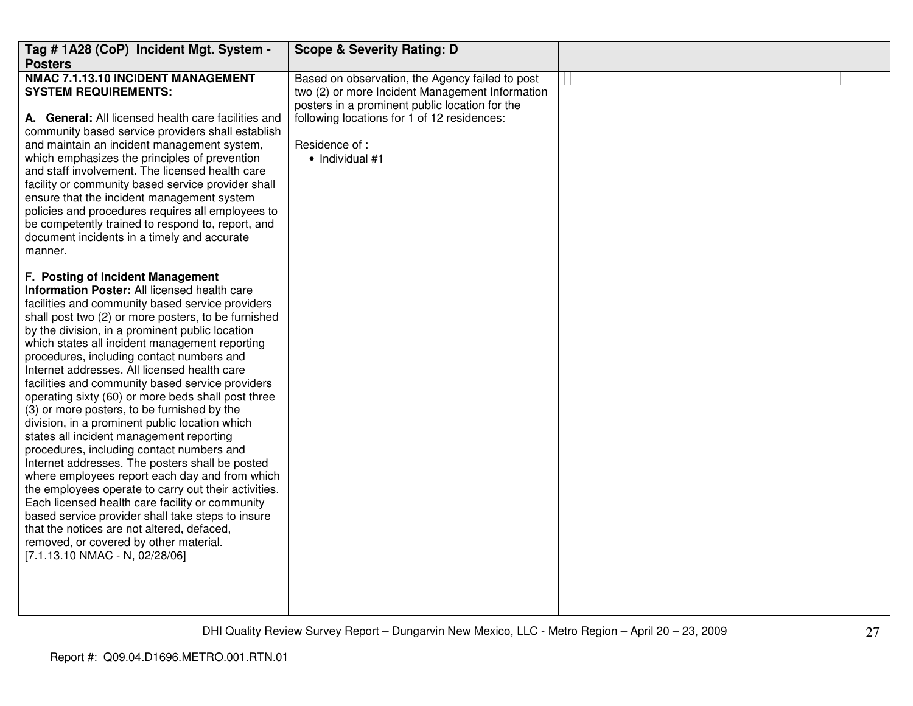| Tag # 1A28 (CoP) Incident Mgt. System -<br><b>Posters</b>                                                                                                                                                                                                                                                                                                                                                                                                                                                                                                                                                                                                                                                                                                                                                                                                                                                                                                                                                                                                                                         | <b>Scope &amp; Severity Rating: D</b>                                                                                                                                                                                                            |  |
|---------------------------------------------------------------------------------------------------------------------------------------------------------------------------------------------------------------------------------------------------------------------------------------------------------------------------------------------------------------------------------------------------------------------------------------------------------------------------------------------------------------------------------------------------------------------------------------------------------------------------------------------------------------------------------------------------------------------------------------------------------------------------------------------------------------------------------------------------------------------------------------------------------------------------------------------------------------------------------------------------------------------------------------------------------------------------------------------------|--------------------------------------------------------------------------------------------------------------------------------------------------------------------------------------------------------------------------------------------------|--|
| <b>NMAC 7.1.13.10 INCIDENT MANAGEMENT</b><br><b>SYSTEM REQUIREMENTS:</b><br>A. General: All licensed health care facilities and<br>community based service providers shall establish<br>and maintain an incident management system,<br>which emphasizes the principles of prevention<br>and staff involvement. The licensed health care<br>facility or community based service provider shall<br>ensure that the incident management system<br>policies and procedures requires all employees to<br>be competently trained to respond to, report, and<br>document incidents in a timely and accurate<br>manner.                                                                                                                                                                                                                                                                                                                                                                                                                                                                                   | Based on observation, the Agency failed to post<br>two (2) or more Incident Management Information<br>posters in a prominent public location for the<br>following locations for 1 of 12 residences:<br>Residence of :<br>$\bullet$ Individual #1 |  |
| F. Posting of Incident Management<br>Information Poster: All licensed health care<br>facilities and community based service providers<br>shall post two (2) or more posters, to be furnished<br>by the division, in a prominent public location<br>which states all incident management reporting<br>procedures, including contact numbers and<br>Internet addresses. All licensed health care<br>facilities and community based service providers<br>operating sixty (60) or more beds shall post three<br>(3) or more posters, to be furnished by the<br>division, in a prominent public location which<br>states all incident management reporting<br>procedures, including contact numbers and<br>Internet addresses. The posters shall be posted<br>where employees report each day and from which<br>the employees operate to carry out their activities.<br>Each licensed health care facility or community<br>based service provider shall take steps to insure<br>that the notices are not altered, defaced,<br>removed, or covered by other material.<br>[7.1.13.10 NMAC - N, 02/28/06] |                                                                                                                                                                                                                                                  |  |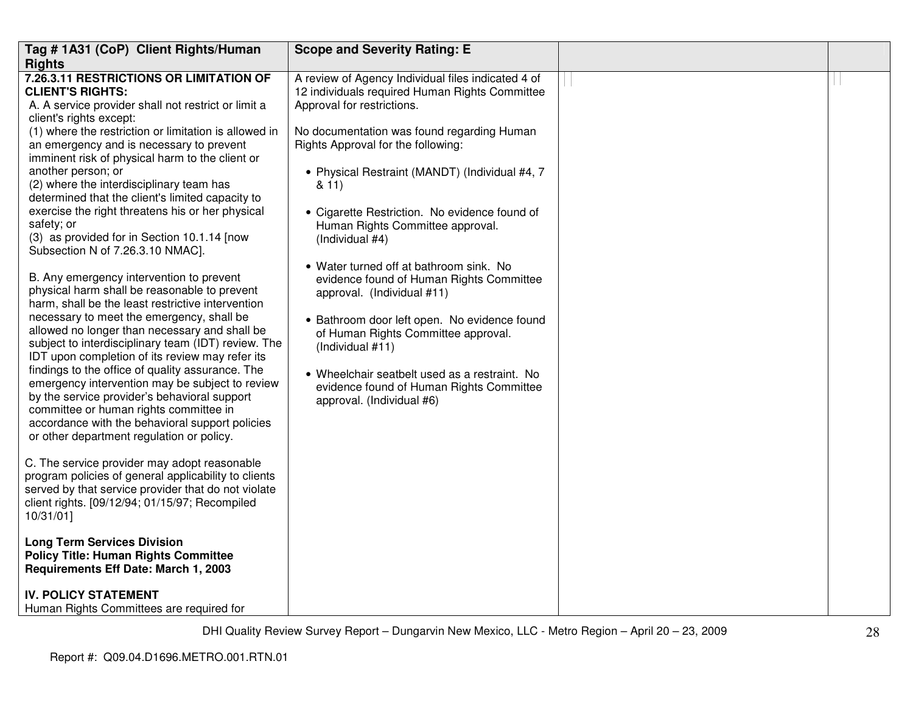| Tag # 1A31 (CoP) Client Rights/Human<br><b>Rights</b><br>7.26.3.11 RESTRICTIONS OR LIMITATION OF<br><b>CLIENT'S RIGHTS:</b><br>A. A service provider shall not restrict or limit a<br>client's rights except:<br>(1) where the restriction or limitation is allowed in<br>an emergency and is necessary to prevent<br>imminent risk of physical harm to the client or<br>another person; or<br>(2) where the interdisciplinary team has<br>determined that the client's limited capacity to<br>exercise the right threatens his or her physical<br>safety; or<br>(3) as provided for in Section 10.1.14 [now<br>Subsection N of 7.26.3.10 NMAC].<br>B. Any emergency intervention to prevent<br>physical harm shall be reasonable to prevent<br>harm, shall be the least restrictive intervention<br>necessary to meet the emergency, shall be<br>allowed no longer than necessary and shall be<br>subject to interdisciplinary team (IDT) review. The<br>IDT upon completion of its review may refer its<br>findings to the office of quality assurance. The<br>emergency intervention may be subject to review<br>by the service provider's behavioral support<br>committee or human rights committee in<br>accordance with the behavioral support policies<br>or other department regulation or policy.<br>C. The service provider may adopt reasonable<br>program policies of general applicability to clients<br>served by that service provider that do not violate<br>client rights. [09/12/94; 01/15/97; Recompiled | <b>Scope and Severity Rating: E</b><br>A review of Agency Individual files indicated 4 of<br>12 individuals required Human Rights Committee<br>Approval for restrictions.<br>No documentation was found regarding Human<br>Rights Approval for the following:<br>• Physical Restraint (MANDT) (Individual #4, 7<br>8.11<br>• Cigarette Restriction. No evidence found of<br>Human Rights Committee approval.<br>(Individual #4)<br>• Water turned off at bathroom sink. No<br>evidence found of Human Rights Committee<br>approval. (Individual #11)<br>• Bathroom door left open. No evidence found<br>of Human Rights Committee approval.<br>(Individual #11)<br>• Wheelchair seatbelt used as a restraint. No<br>evidence found of Human Rights Committee<br>approval. (Individual #6) |  |
|-----------------------------------------------------------------------------------------------------------------------------------------------------------------------------------------------------------------------------------------------------------------------------------------------------------------------------------------------------------------------------------------------------------------------------------------------------------------------------------------------------------------------------------------------------------------------------------------------------------------------------------------------------------------------------------------------------------------------------------------------------------------------------------------------------------------------------------------------------------------------------------------------------------------------------------------------------------------------------------------------------------------------------------------------------------------------------------------------------------------------------------------------------------------------------------------------------------------------------------------------------------------------------------------------------------------------------------------------------------------------------------------------------------------------------------------------------------------------------------------------------------------------------|-------------------------------------------------------------------------------------------------------------------------------------------------------------------------------------------------------------------------------------------------------------------------------------------------------------------------------------------------------------------------------------------------------------------------------------------------------------------------------------------------------------------------------------------------------------------------------------------------------------------------------------------------------------------------------------------------------------------------------------------------------------------------------------------|--|
| 10/31/01]                                                                                                                                                                                                                                                                                                                                                                                                                                                                                                                                                                                                                                                                                                                                                                                                                                                                                                                                                                                                                                                                                                                                                                                                                                                                                                                                                                                                                                                                                                                   |                                                                                                                                                                                                                                                                                                                                                                                                                                                                                                                                                                                                                                                                                                                                                                                           |  |
| <b>Long Term Services Division</b><br><b>Policy Title: Human Rights Committee</b><br>Requirements Eff Date: March 1, 2003                                                                                                                                                                                                                                                                                                                                                                                                                                                                                                                                                                                                                                                                                                                                                                                                                                                                                                                                                                                                                                                                                                                                                                                                                                                                                                                                                                                                   |                                                                                                                                                                                                                                                                                                                                                                                                                                                                                                                                                                                                                                                                                                                                                                                           |  |
| <b>IV. POLICY STATEMENT</b><br>Human Rights Committees are required for                                                                                                                                                                                                                                                                                                                                                                                                                                                                                                                                                                                                                                                                                                                                                                                                                                                                                                                                                                                                                                                                                                                                                                                                                                                                                                                                                                                                                                                     |                                                                                                                                                                                                                                                                                                                                                                                                                                                                                                                                                                                                                                                                                                                                                                                           |  |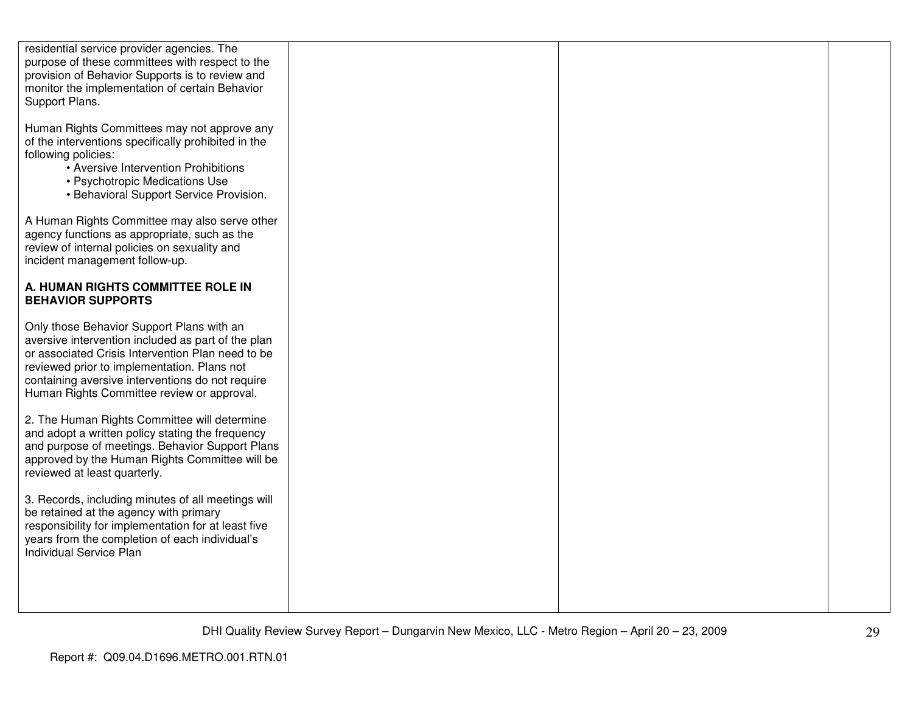| residential service provider agencies. The<br>purpose of these committees with respect to the<br>provision of Behavior Supports is to review and<br>monitor the implementation of certain Behavior<br>Support Plans.                                                                                  |  |  |
|-------------------------------------------------------------------------------------------------------------------------------------------------------------------------------------------------------------------------------------------------------------------------------------------------------|--|--|
| Human Rights Committees may not approve any<br>of the interventions specifically prohibited in the<br>following policies:<br>• Aversive Intervention Prohibitions<br>• Psychotropic Medications Use<br>• Behavioral Support Service Provision.                                                        |  |  |
| A Human Rights Committee may also serve other<br>agency functions as appropriate, such as the<br>review of internal policies on sexuality and<br>incident management follow-up.                                                                                                                       |  |  |
| A. HUMAN RIGHTS COMMITTEE ROLE IN<br><b>BEHAVIOR SUPPORTS</b>                                                                                                                                                                                                                                         |  |  |
| Only those Behavior Support Plans with an<br>aversive intervention included as part of the plan<br>or associated Crisis Intervention Plan need to be<br>reviewed prior to implementation. Plans not<br>containing aversive interventions do not require<br>Human Rights Committee review or approval. |  |  |
| 2. The Human Rights Committee will determine<br>and adopt a written policy stating the frequency<br>and purpose of meetings. Behavior Support Plans<br>approved by the Human Rights Committee will be<br>reviewed at least quarterly.                                                                 |  |  |
| 3. Records, including minutes of all meetings will<br>be retained at the agency with primary<br>responsibility for implementation for at least five<br>years from the completion of each individual's<br>Individual Service Plan                                                                      |  |  |
|                                                                                                                                                                                                                                                                                                       |  |  |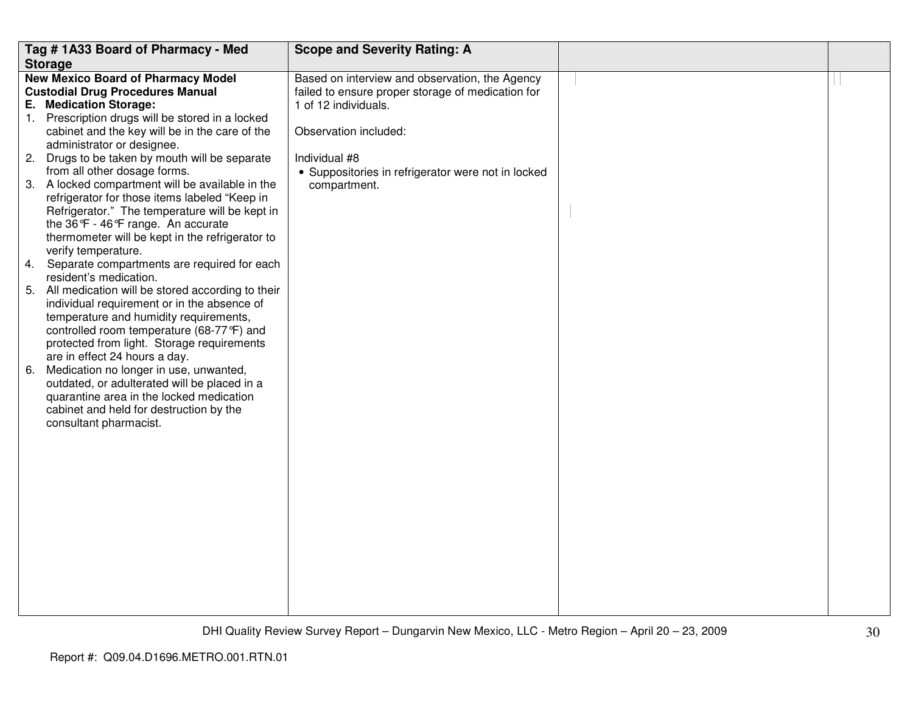|    | Tag # 1A33 Board of Pharmacy - Med                                                    | <b>Scope and Severity Rating: A</b>                |  |
|----|---------------------------------------------------------------------------------------|----------------------------------------------------|--|
|    | <b>Storage</b>                                                                        |                                                    |  |
|    | <b>New Mexico Board of Pharmacy Model</b>                                             | Based on interview and observation, the Agency     |  |
|    | <b>Custodial Drug Procedures Manual</b>                                               | failed to ensure proper storage of medication for  |  |
|    | E. Medication Storage:                                                                | 1 of 12 individuals.                               |  |
|    | 1. Prescription drugs will be stored in a locked                                      |                                                    |  |
|    | cabinet and the key will be in the care of the                                        | Observation included:                              |  |
|    | administrator or designee.                                                            |                                                    |  |
|    | 2. Drugs to be taken by mouth will be separate                                        | Individual #8                                      |  |
|    | from all other dosage forms.                                                          | • Suppositories in refrigerator were not in locked |  |
|    | 3. A locked compartment will be available in the                                      | compartment.                                       |  |
|    | refrigerator for those items labeled "Keep in                                         |                                                    |  |
|    | Refrigerator." The temperature will be kept in                                        |                                                    |  |
|    | the 36°F - 46°F range. An accurate<br>thermometer will be kept in the refrigerator to |                                                    |  |
|    | verify temperature.                                                                   |                                                    |  |
|    | 4. Separate compartments are required for each                                        |                                                    |  |
|    | resident's medication.                                                                |                                                    |  |
|    | 5. All medication will be stored according to their                                   |                                                    |  |
|    | individual requirement or in the absence of                                           |                                                    |  |
|    | temperature and humidity requirements,                                                |                                                    |  |
|    | controlled room temperature (68-77 °F) and                                            |                                                    |  |
|    | protected from light. Storage requirements                                            |                                                    |  |
|    | are in effect 24 hours a day.                                                         |                                                    |  |
| 6. | Medication no longer in use, unwanted,                                                |                                                    |  |
|    | outdated, or adulterated will be placed in a                                          |                                                    |  |
|    | quarantine area in the locked medication                                              |                                                    |  |
|    | cabinet and held for destruction by the                                               |                                                    |  |
|    | consultant pharmacist.                                                                |                                                    |  |
|    |                                                                                       |                                                    |  |
|    |                                                                                       |                                                    |  |
|    |                                                                                       |                                                    |  |
|    |                                                                                       |                                                    |  |
|    |                                                                                       |                                                    |  |
|    |                                                                                       |                                                    |  |
|    |                                                                                       |                                                    |  |
|    |                                                                                       |                                                    |  |
|    |                                                                                       |                                                    |  |
|    |                                                                                       |                                                    |  |
|    |                                                                                       |                                                    |  |
|    |                                                                                       |                                                    |  |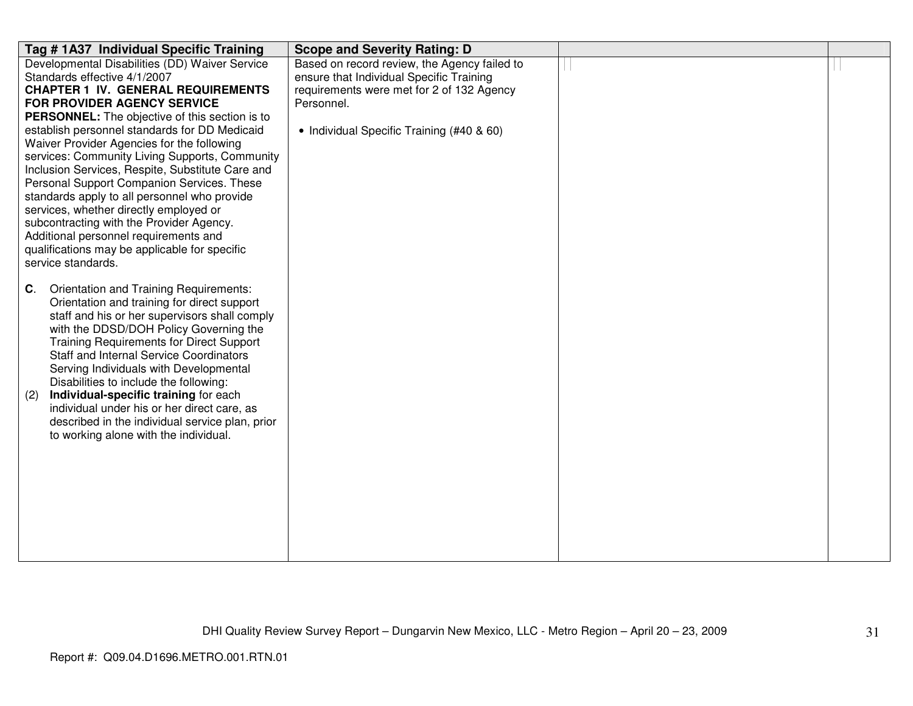| Tag # 1A37 Individual Specific Training                                         | <b>Scope and Severity Rating: D</b>          |  |
|---------------------------------------------------------------------------------|----------------------------------------------|--|
| Developmental Disabilities (DD) Waiver Service                                  | Based on record review, the Agency failed to |  |
| Standards effective 4/1/2007                                                    | ensure that Individual Specific Training     |  |
| <b>CHAPTER 1 IV. GENERAL REQUIREMENTS</b>                                       | requirements were met for 2 of 132 Agency    |  |
| FOR PROVIDER AGENCY SERVICE                                                     | Personnel.                                   |  |
| <b>PERSONNEL:</b> The objective of this section is to                           |                                              |  |
| establish personnel standards for DD Medicaid                                   | • Individual Specific Training (#40 & 60)    |  |
| Waiver Provider Agencies for the following                                      |                                              |  |
| services: Community Living Supports, Community                                  |                                              |  |
| Inclusion Services, Respite, Substitute Care and                                |                                              |  |
| Personal Support Companion Services. These                                      |                                              |  |
| standards apply to all personnel who provide                                    |                                              |  |
| services, whether directly employed or                                          |                                              |  |
| subcontracting with the Provider Agency.                                        |                                              |  |
| Additional personnel requirements and                                           |                                              |  |
| qualifications may be applicable for specific                                   |                                              |  |
| service standards.                                                              |                                              |  |
|                                                                                 |                                              |  |
| Orientation and Training Requirements:<br>C.                                    |                                              |  |
| Orientation and training for direct support                                     |                                              |  |
| staff and his or her supervisors shall comply                                   |                                              |  |
| with the DDSD/DOH Policy Governing the                                          |                                              |  |
| <b>Training Requirements for Direct Support</b>                                 |                                              |  |
| <b>Staff and Internal Service Coordinators</b>                                  |                                              |  |
| Serving Individuals with Developmental                                          |                                              |  |
| Disabilities to include the following:<br>Individual-specific training for each |                                              |  |
| (2)<br>individual under his or her direct care, as                              |                                              |  |
| described in the individual service plan, prior                                 |                                              |  |
| to working alone with the individual.                                           |                                              |  |
|                                                                                 |                                              |  |
|                                                                                 |                                              |  |
|                                                                                 |                                              |  |
|                                                                                 |                                              |  |
|                                                                                 |                                              |  |
|                                                                                 |                                              |  |
|                                                                                 |                                              |  |
|                                                                                 |                                              |  |
|                                                                                 |                                              |  |
|                                                                                 |                                              |  |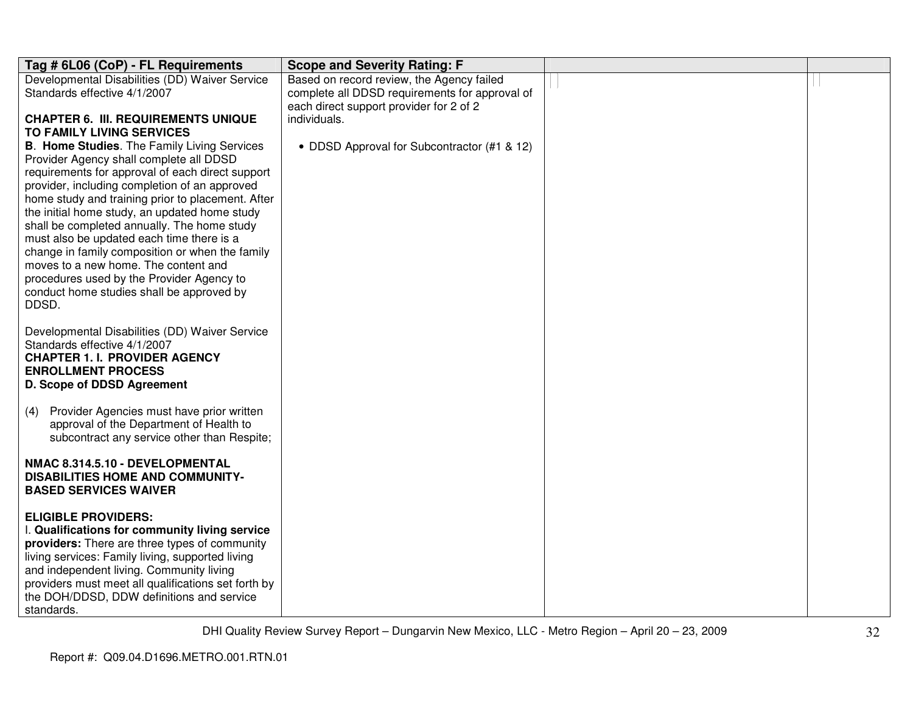| Tag # 6L06 (CoP) - FL Requirements                                                               | <b>Scope and Severity Rating: F</b>            |  |
|--------------------------------------------------------------------------------------------------|------------------------------------------------|--|
| Developmental Disabilities (DD) Waiver Service                                                   | Based on record review, the Agency failed      |  |
| Standards effective 4/1/2007                                                                     | complete all DDSD requirements for approval of |  |
|                                                                                                  | each direct support provider for 2 of 2        |  |
| <b>CHAPTER 6. III. REQUIREMENTS UNIQUE</b>                                                       | individuals.                                   |  |
| TO FAMILY LIVING SERVICES                                                                        |                                                |  |
| <b>B. Home Studies.</b> The Family Living Services                                               | • DDSD Approval for Subcontractor (#1 & 12)    |  |
| Provider Agency shall complete all DDSD                                                          |                                                |  |
| requirements for approval of each direct support                                                 |                                                |  |
| provider, including completion of an approved                                                    |                                                |  |
| home study and training prior to placement. After                                                |                                                |  |
| the initial home study, an updated home study                                                    |                                                |  |
| shall be completed annually. The home study                                                      |                                                |  |
| must also be updated each time there is a                                                        |                                                |  |
| change in family composition or when the family                                                  |                                                |  |
| moves to a new home. The content and                                                             |                                                |  |
| procedures used by the Provider Agency to                                                        |                                                |  |
| conduct home studies shall be approved by<br>DDSD.                                               |                                                |  |
|                                                                                                  |                                                |  |
| Developmental Disabilities (DD) Waiver Service                                                   |                                                |  |
| Standards effective 4/1/2007                                                                     |                                                |  |
| <b>CHAPTER 1. I. PROVIDER AGENCY</b>                                                             |                                                |  |
| <b>ENROLLMENT PROCESS</b>                                                                        |                                                |  |
| D. Scope of DDSD Agreement                                                                       |                                                |  |
|                                                                                                  |                                                |  |
| Provider Agencies must have prior written<br>(4)                                                 |                                                |  |
| approval of the Department of Health to                                                          |                                                |  |
| subcontract any service other than Respite;                                                      |                                                |  |
|                                                                                                  |                                                |  |
| NMAC 8.314.5.10 - DEVELOPMENTAL                                                                  |                                                |  |
| <b>DISABILITIES HOME AND COMMUNITY-</b>                                                          |                                                |  |
| <b>BASED SERVICES WAIVER</b>                                                                     |                                                |  |
|                                                                                                  |                                                |  |
| <b>ELIGIBLE PROVIDERS:</b>                                                                       |                                                |  |
| I. Qualifications for community living service                                                   |                                                |  |
| providers: There are three types of community                                                    |                                                |  |
| living services: Family living, supported living                                                 |                                                |  |
| and independent living. Community living                                                         |                                                |  |
| providers must meet all qualifications set forth by<br>the DOH/DDSD, DDW definitions and service |                                                |  |
|                                                                                                  |                                                |  |
| standards.                                                                                       |                                                |  |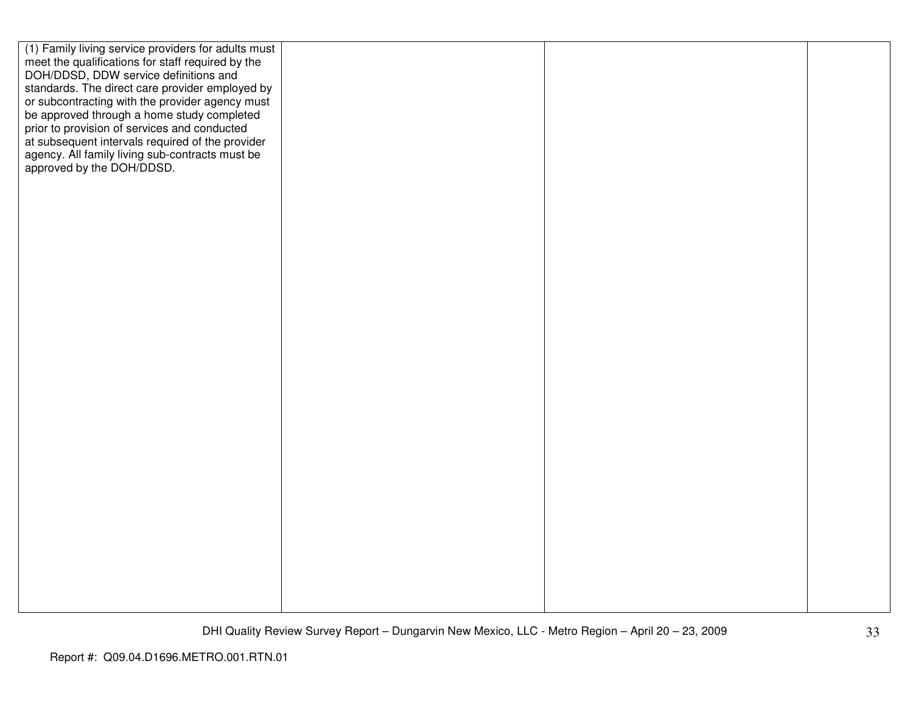| (1) Family living service providers for adults must<br>meet the qualifications for staff required by the<br>DOH/DDSD, DDW service definitions and<br>standards. The direct care provider employed by<br>or subcontracting with the provider agency must<br>be approved through a home study completed<br>prior to provision of services and conducted<br>at subsequent intervals required of the provider |  |  |
|-----------------------------------------------------------------------------------------------------------------------------------------------------------------------------------------------------------------------------------------------------------------------------------------------------------------------------------------------------------------------------------------------------------|--|--|
| agency. All family living sub-contracts must be<br>approved by the DOH/DDSD.                                                                                                                                                                                                                                                                                                                              |  |  |
|                                                                                                                                                                                                                                                                                                                                                                                                           |  |  |
|                                                                                                                                                                                                                                                                                                                                                                                                           |  |  |
|                                                                                                                                                                                                                                                                                                                                                                                                           |  |  |
|                                                                                                                                                                                                                                                                                                                                                                                                           |  |  |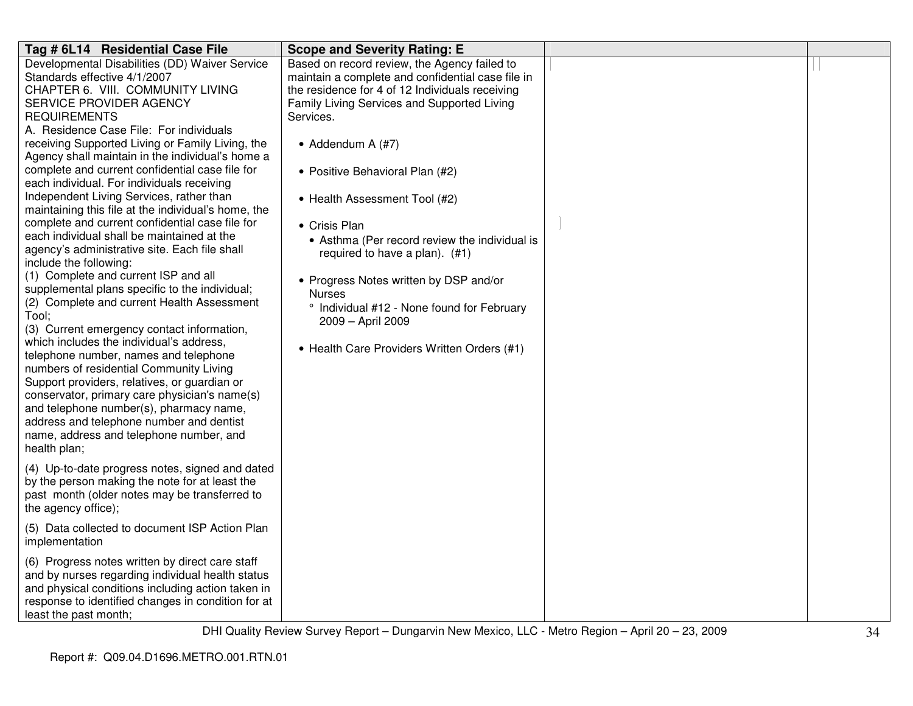| Tag # 6L14 Residential Case File                                                                                                                                                                                                                                                                                                                                                                                                                                                                                                                                                                                                                                                                                                                                                                                                                                                                                                                                                                                                                                                                                                                                                                                                                                           | <b>Scope and Severity Rating: E</b>                                                                                                                                                                                                                                                                                                                                                                                                                                                                                                                                                          |  |
|----------------------------------------------------------------------------------------------------------------------------------------------------------------------------------------------------------------------------------------------------------------------------------------------------------------------------------------------------------------------------------------------------------------------------------------------------------------------------------------------------------------------------------------------------------------------------------------------------------------------------------------------------------------------------------------------------------------------------------------------------------------------------------------------------------------------------------------------------------------------------------------------------------------------------------------------------------------------------------------------------------------------------------------------------------------------------------------------------------------------------------------------------------------------------------------------------------------------------------------------------------------------------|----------------------------------------------------------------------------------------------------------------------------------------------------------------------------------------------------------------------------------------------------------------------------------------------------------------------------------------------------------------------------------------------------------------------------------------------------------------------------------------------------------------------------------------------------------------------------------------------|--|
| Developmental Disabilities (DD) Waiver Service<br>Standards effective 4/1/2007<br>CHAPTER 6. VIII. COMMUNITY LIVING<br>SERVICE PROVIDER AGENCY<br><b>REQUIREMENTS</b><br>A. Residence Case File: For individuals<br>receiving Supported Living or Family Living, the<br>Agency shall maintain in the individual's home a<br>complete and current confidential case file for<br>each individual. For individuals receiving<br>Independent Living Services, rather than<br>maintaining this file at the individual's home, the<br>complete and current confidential case file for<br>each individual shall be maintained at the<br>agency's administrative site. Each file shall<br>include the following:<br>(1) Complete and current ISP and all<br>supplemental plans specific to the individual;<br>(2) Complete and current Health Assessment<br>Tool;<br>(3) Current emergency contact information,<br>which includes the individual's address,<br>telephone number, names and telephone<br>numbers of residential Community Living<br>Support providers, relatives, or guardian or<br>conservator, primary care physician's name(s)<br>and telephone number(s), pharmacy name,<br>address and telephone number and dentist<br>name, address and telephone number, and | Based on record review, the Agency failed to<br>maintain a complete and confidential case file in<br>the residence for 4 of 12 Individuals receiving<br>Family Living Services and Supported Living<br>Services.<br>• Addendum A $(H7)$<br>• Positive Behavioral Plan (#2)<br>• Health Assessment Tool (#2)<br>• Crisis Plan<br>• Asthma (Per record review the individual is<br>required to have a plan). (#1)<br>• Progress Notes written by DSP and/or<br><b>Nurses</b><br>° Individual #12 - None found for February<br>2009 - April 2009<br>• Health Care Providers Written Orders (#1) |  |
| health plan;<br>(4) Up-to-date progress notes, signed and dated<br>by the person making the note for at least the<br>past month (older notes may be transferred to<br>the agency office);                                                                                                                                                                                                                                                                                                                                                                                                                                                                                                                                                                                                                                                                                                                                                                                                                                                                                                                                                                                                                                                                                  |                                                                                                                                                                                                                                                                                                                                                                                                                                                                                                                                                                                              |  |
| (5) Data collected to document ISP Action Plan<br>implementation                                                                                                                                                                                                                                                                                                                                                                                                                                                                                                                                                                                                                                                                                                                                                                                                                                                                                                                                                                                                                                                                                                                                                                                                           |                                                                                                                                                                                                                                                                                                                                                                                                                                                                                                                                                                                              |  |
| (6) Progress notes written by direct care staff<br>and by nurses regarding individual health status<br>and physical conditions including action taken in<br>response to identified changes in condition for at<br>least the past month;                                                                                                                                                                                                                                                                                                                                                                                                                                                                                                                                                                                                                                                                                                                                                                                                                                                                                                                                                                                                                                    |                                                                                                                                                                                                                                                                                                                                                                                                                                                                                                                                                                                              |  |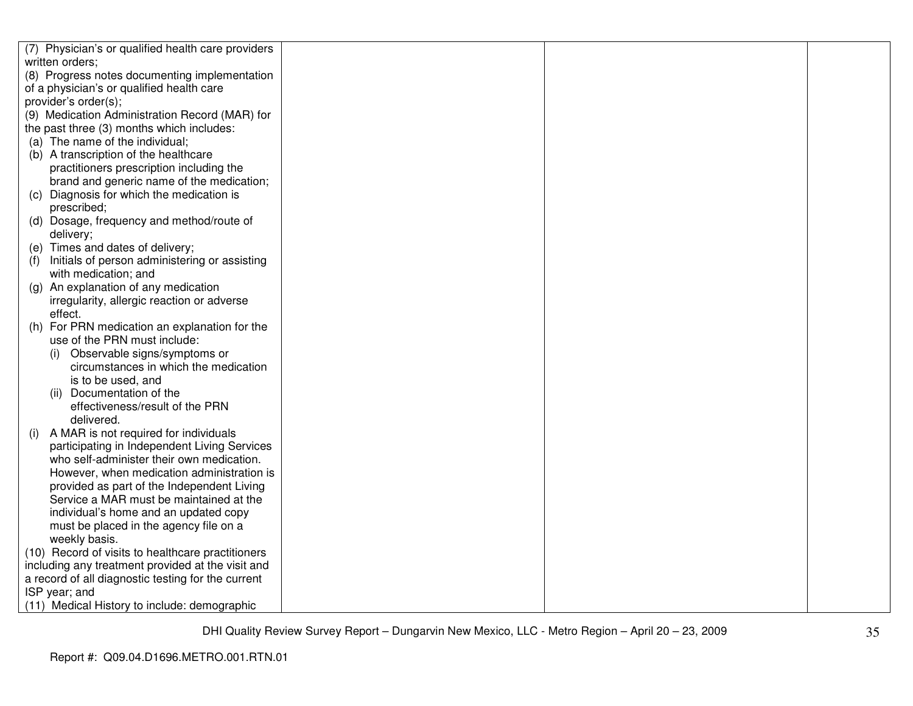| (7) Physician's or qualified health care providers                                                      |  |  |
|---------------------------------------------------------------------------------------------------------|--|--|
| written orders;                                                                                         |  |  |
| (8) Progress notes documenting implementation                                                           |  |  |
| of a physician's or qualified health care                                                               |  |  |
| provider's order(s);                                                                                    |  |  |
| (9) Medication Administration Record (MAR) for                                                          |  |  |
| the past three (3) months which includes:                                                               |  |  |
| (a) The name of the individual;                                                                         |  |  |
| (b) A transcription of the healthcare                                                                   |  |  |
| practitioners prescription including the                                                                |  |  |
| brand and generic name of the medication;                                                               |  |  |
| (c) Diagnosis for which the medication is                                                               |  |  |
| prescribed;                                                                                             |  |  |
| (d) Dosage, frequency and method/route of                                                               |  |  |
| delivery;                                                                                               |  |  |
| (e) Times and dates of delivery;                                                                        |  |  |
| Initials of person administering or assisting<br>(f)                                                    |  |  |
| with medication; and                                                                                    |  |  |
| (g) An explanation of any medication                                                                    |  |  |
| irregularity, allergic reaction or adverse                                                              |  |  |
| effect.                                                                                                 |  |  |
| (h) For PRN medication an explanation for the                                                           |  |  |
| use of the PRN must include:                                                                            |  |  |
| (i) Observable signs/symptoms or                                                                        |  |  |
| circumstances in which the medication                                                                   |  |  |
| is to be used, and                                                                                      |  |  |
| (ii) Documentation of the                                                                               |  |  |
| effectiveness/result of the PRN                                                                         |  |  |
| delivered.                                                                                              |  |  |
| A MAR is not required for individuals<br>(i)                                                            |  |  |
| participating in Independent Living Services                                                            |  |  |
| who self-administer their own medication.                                                               |  |  |
| However, when medication administration is                                                              |  |  |
| provided as part of the Independent Living                                                              |  |  |
| Service a MAR must be maintained at the                                                                 |  |  |
| individual's home and an updated copy                                                                   |  |  |
| must be placed in the agency file on a                                                                  |  |  |
| weekly basis.                                                                                           |  |  |
| (10) Record of visits to healthcare practitioners                                                       |  |  |
| including any treatment provided at the visit and<br>a record of all diagnostic testing for the current |  |  |
|                                                                                                         |  |  |
| ISP year; and<br>(11) Medical History to include: demographic                                           |  |  |
|                                                                                                         |  |  |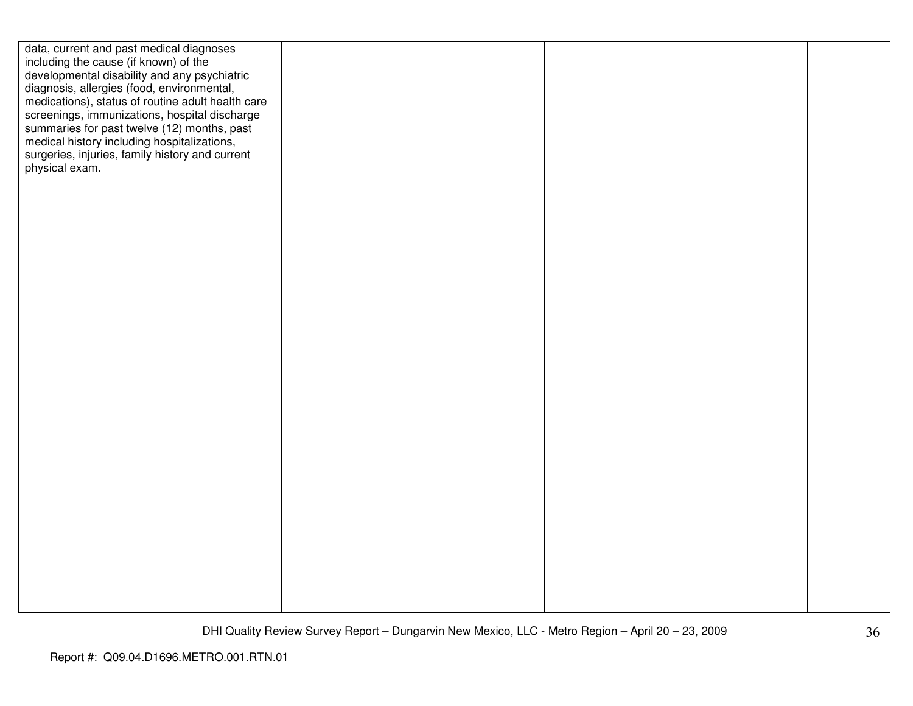| data, current and past medical diagnoses          |  |  |
|---------------------------------------------------|--|--|
| including the cause (if known) of the             |  |  |
| developmental disability and any psychiatric      |  |  |
| diagnosis, allergies (food, environmental,        |  |  |
| medications), status of routine adult health care |  |  |
| screenings, immunizations, hospital discharge     |  |  |
| summaries for past twelve (12) months, past       |  |  |
| medical history including hospitalizations,       |  |  |
| surgeries, injuries, family history and current   |  |  |
| physical exam.                                    |  |  |
|                                                   |  |  |
|                                                   |  |  |
|                                                   |  |  |
|                                                   |  |  |
|                                                   |  |  |
|                                                   |  |  |
|                                                   |  |  |
|                                                   |  |  |
|                                                   |  |  |
|                                                   |  |  |
|                                                   |  |  |
|                                                   |  |  |
|                                                   |  |  |
|                                                   |  |  |
|                                                   |  |  |
|                                                   |  |  |
|                                                   |  |  |
|                                                   |  |  |
|                                                   |  |  |
|                                                   |  |  |
|                                                   |  |  |
|                                                   |  |  |
|                                                   |  |  |
|                                                   |  |  |
|                                                   |  |  |
|                                                   |  |  |
|                                                   |  |  |
|                                                   |  |  |
|                                                   |  |  |
|                                                   |  |  |
|                                                   |  |  |
|                                                   |  |  |
|                                                   |  |  |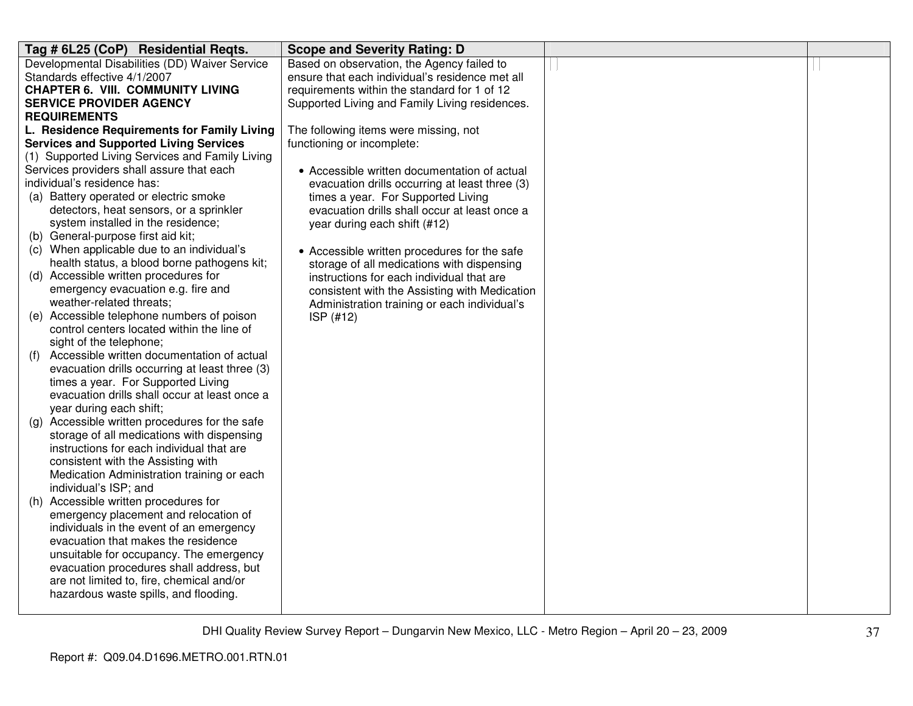| Tag # 6L25 (CoP) Residential Reqts.                                                                 | <b>Scope and Severity Rating: D</b>             |  |
|-----------------------------------------------------------------------------------------------------|-------------------------------------------------|--|
| Developmental Disabilities (DD) Waiver Service                                                      | Based on observation, the Agency failed to      |  |
| Standards effective 4/1/2007                                                                        | ensure that each individual's residence met all |  |
| <b>CHAPTER 6. VIII. COMMUNITY LIVING</b>                                                            | requirements within the standard for 1 of 12    |  |
| <b>SERVICE PROVIDER AGENCY</b>                                                                      | Supported Living and Family Living residences.  |  |
| <b>REQUIREMENTS</b>                                                                                 |                                                 |  |
| L. Residence Requirements for Family Living                                                         | The following items were missing, not           |  |
| <b>Services and Supported Living Services</b>                                                       | functioning or incomplete:                      |  |
| (1) Supported Living Services and Family Living                                                     |                                                 |  |
| Services providers shall assure that each                                                           | • Accessible written documentation of actual    |  |
| individual's residence has:                                                                         | evacuation drills occurring at least three (3)  |  |
| (a) Battery operated or electric smoke                                                              | times a year. For Supported Living              |  |
| detectors, heat sensors, or a sprinkler                                                             | evacuation drills shall occur at least once a   |  |
| system installed in the residence;                                                                  | year during each shift (#12)                    |  |
| (b) General-purpose first aid kit;                                                                  |                                                 |  |
| (c) When applicable due to an individual's                                                          | • Accessible written procedures for the safe    |  |
| health status, a blood borne pathogens kit;                                                         | storage of all medications with dispensing      |  |
| (d) Accessible written procedures for                                                               | instructions for each individual that are       |  |
| emergency evacuation e.g. fire and                                                                  | consistent with the Assisting with Medication   |  |
| weather-related threats;                                                                            | Administration training or each individual's    |  |
| (e) Accessible telephone numbers of poison                                                          | ISP (#12)                                       |  |
| control centers located within the line of                                                          |                                                 |  |
| sight of the telephone;                                                                             |                                                 |  |
| Accessible written documentation of actual<br>(f)<br>evacuation drills occurring at least three (3) |                                                 |  |
| times a year. For Supported Living                                                                  |                                                 |  |
| evacuation drills shall occur at least once a                                                       |                                                 |  |
| year during each shift;                                                                             |                                                 |  |
| (g) Accessible written procedures for the safe                                                      |                                                 |  |
| storage of all medications with dispensing                                                          |                                                 |  |
| instructions for each individual that are                                                           |                                                 |  |
| consistent with the Assisting with                                                                  |                                                 |  |
| Medication Administration training or each                                                          |                                                 |  |
| individual's ISP; and                                                                               |                                                 |  |
| (h) Accessible written procedures for                                                               |                                                 |  |
| emergency placement and relocation of                                                               |                                                 |  |
| individuals in the event of an emergency                                                            |                                                 |  |
| evacuation that makes the residence                                                                 |                                                 |  |
| unsuitable for occupancy. The emergency                                                             |                                                 |  |
| evacuation procedures shall address, but                                                            |                                                 |  |
| are not limited to, fire, chemical and/or                                                           |                                                 |  |
| hazardous waste spills, and flooding.                                                               |                                                 |  |
|                                                                                                     |                                                 |  |